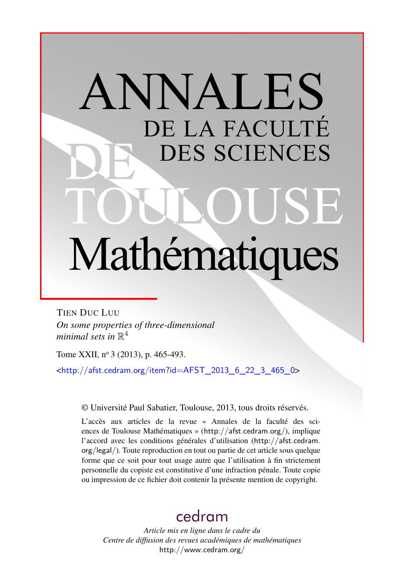# ANNALES DE LA FACULTÉ DES SCIENCES Mathématiques

TIEN DUC LUU *On some properties of three-dimensional* minimal sets in  $\mathbb{R}^4$ 

Tome XXII, nº 3 (2013), p. 465-493.

<[http://afst.cedram.org/item?id=AFST\\_2013\\_6\\_22\\_3\\_465\\_0](http://afst.cedram.org/item?id=AFST_2013_6_22_3_465_0)>

© Université Paul Sabatier, Toulouse, 2013, tous droits réservés.

L'accès aux articles de la revue « Annales de la faculté des sciences de Toulouse Mathématiques » (<http://afst.cedram.org/>), implique l'accord avec les conditions générales d'utilisation ([http://afst.cedram.](http://afst.cedram.org/legal/) [org/legal/](http://afst.cedram.org/legal/)). Toute reproduction en tout ou partie de cet article sous quelque forme que ce soit pour tout usage autre que l'utilisation à fin strictement personnelle du copiste est constitutive d'une infraction pénale. Toute copie ou impression de ce fichier doit contenir la présente mention de copyright.

# [cedram](http://www.cedram.org/)

*Article mis en ligne dans le cadre du Centre de diffusion des revues académiques de mathématiques* <http://www.cedram.org/>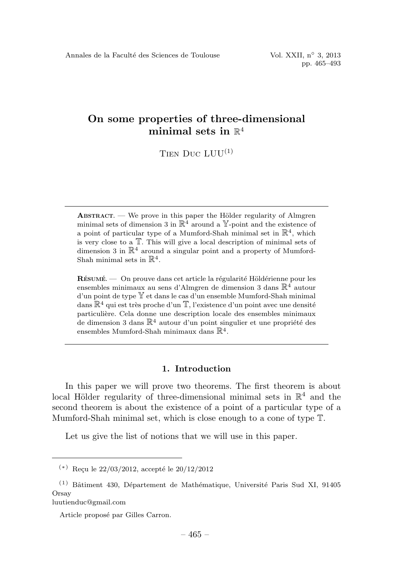TIEN DUC  $LUU^{(1)}$ 

 $ABSTRACT.$  — We prove in this paper the Hölder regularity of Almgren minimal sets of dimension 3 in  $\mathbb{R}^4$  around a Y-point and the existence of a point of particular type of a Mumford-Shah minimal set in  $\mathbb{R}^4$ , which is very close to a T. This will give a local description of minimal sets of dimension 3 in  $\mathbb{R}^4$  around a singular point and a property of Mumford-Shah minimal sets in  $\mathbb{R}^4$ .

RÉSUMÉ.  $-$  On prouve dans cet article la régularité Höldérienne pour les ensembles minimaux au sens d'Almgren de dimension 3 dans  $\mathbb{R}^4$  autour d'un point de type Y et dans le cas d'un ensemble Mumford-Shah minimal dans  $\mathbb{R}^4$  qui est très proche d'un  $\mathbb{T}$ , l'existence d'un point avec une densité particulière. Cela donne une description locale des ensembles minimaux de dimension 3 dans  $\mathbb{R}^4$  autour d'un point singulier et une propriété des ensembles Mumford-Shah minimaux dans  $\mathbb{R}^4$ .

## 1. Introduction

In this paper we will prove two theorems. The first theorem is about local Hölder regularity of three-dimensional minimal sets in  $\mathbb{R}^4$  and the second theorem is about the existence of a point of a particular type of a Mumford-Shah minimal set, which is close enough to a cone of type T.

Let us give the list of notions that we will use in this paper.

luutienduc@gmail.com

 $(*)$  Reçu le 22/03/2012, accepté le 20/12/2012

 $(1)$  Bâtiment 430, Département de Mathématique, Université Paris Sud XI, 91405 **Orsay** 

Article proposé par Gilles Carron.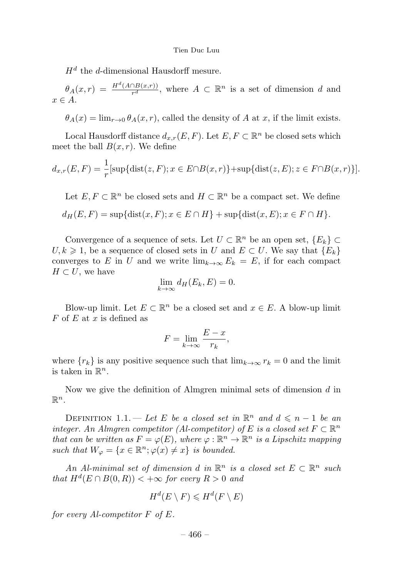$H<sup>d</sup>$  the d-dimensional Hausdorff mesure.

 $\theta_A(x,r) = \frac{H^d(A \cap B(x,r))}{r^d}$ , where  $A \subset \mathbb{R}^n$  is a set of dimension d and  $r \in A$ 

 $\theta_A(x) = \lim_{x\to 0} \theta_A(x,r)$ , called the density of A at x, if the limit exists.

Local Hausdorff distance  $d_{x,r}(E,F)$ . Let  $E, F \subset \mathbb{R}^n$  be closed sets which meet the ball  $B(x, r)$ . We define

$$
d_{x,r}(E,F) = \frac{1}{r} [\sup{\text{dist}(z,F)}; x \in E \cap B(x,r)] + \sup{\text{dist}(z,E)}; z \in F \cap B(x,r)]
$$

Let  $E, F \subset \mathbb{R}^n$  be closed sets and  $H \subset \mathbb{R}^n$  be a compact set. We define  $d_H(E, F) = \sup \{ \text{dist}(x, F); x \in E \cap H \} + \sup \{ \text{dist}(x, E); x \in F \cap H \}.$ 

Convergence of a sequence of sets. Let  $U \subset \mathbb{R}^n$  be an open set,  $\{E_k\} \subset$  $U, k \geq 1$ , be a sequence of closed sets in U and  $E \subset U$ . We say that  $\{E_k\}$ converges to E in U and we write  $\lim_{k\to\infty} E_k = E$ , if for each compact  $H \subset U$ , we have

$$
\lim_{k \to \infty} d_H(E_k, E) = 0.
$$

Blow-up limit. Let  $E \subset \mathbb{R}^n$  be a closed set and  $x \in E$ . A blow-up limit  $F$  of  $E$  at  $x$  is defined as

$$
F = \lim_{k \to \infty} \frac{E - x}{r_k},
$$

where  ${r_k}$  is any positive sequence such that  $\lim_{k\to\infty} r_k = 0$  and the limit is taken in  $\mathbb{R}^n$ .

Now we give the definition of Almgren minimal sets of dimension  $d$  in  $\mathbb{R}^n$ .

DEFINITION 1.1. — Let E be a closed set in  $\mathbb{R}^n$  and  $d \leq n - 1$  be an integer. An Almgren competitor (Al-competitor) of E is a closed set  $F \subset \mathbb{R}^n$ that can be written as  $F = \varphi(E)$ , where  $\varphi : \mathbb{R}^n \to \mathbb{R}^n$  is a Lipschitz mapping such that  $W_{\varphi} = \{x \in \mathbb{R}^n; \varphi(x) \neq x\}$  is bounded.

An Al-minimal set of dimension d in  $\mathbb{R}^n$  is a closed set  $E \subset \mathbb{R}^n$  such that  $H^d(E \cap B(0,R)) < +\infty$  for every  $R > 0$  and

$$
H^d(E \setminus F) \leq H^d(F \setminus E)
$$

for every Al-competitor  $F$  of  $E$ .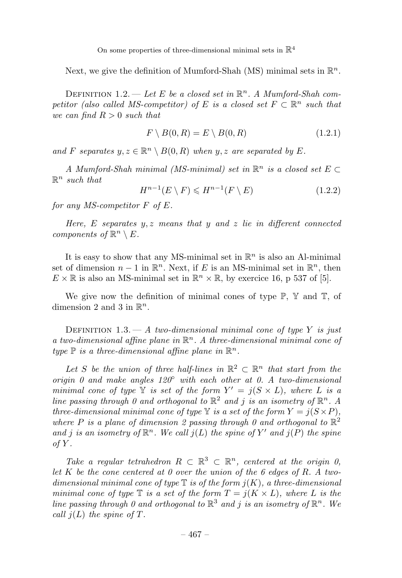Next, we give the definition of Mumford-Shah (MS) minimal sets in  $\mathbb{R}^n$ .

DEFINITION 1.2. — Let E be a closed set in  $\mathbb{R}^n$ . A Mumford-Shah competitor (also called MS-competitor) of E is a closed set  $F \subset \mathbb{R}^n$  such that we can find  $R > 0$  such that

$$
F \setminus B(0, R) = E \setminus B(0, R) \tag{1.2.1}
$$

and F separates  $y, z \in \mathbb{R}^n \setminus B(0, R)$  when  $y, z$  are separated by E.

A Mumford-Shah minimal (MS-minimal) set in  $\mathbb{R}^n$  is a closed set  $E \subset$  $\mathbb{R}^n$  such that

$$
H^{n-1}(E \setminus F) \le H^{n-1}(F \setminus E) \tag{1.2.2}
$$

for any MS-competitor F of E.

Here, E separates  $y, z$  means that y and z lie in different connected components of  $\mathbb{R}^n \setminus E$ .

It is easy to show that any MS-minimal set in  $\mathbb{R}^n$  is also an Al-minimal set of dimension  $n-1$  in  $\mathbb{R}^n$ . Next, if E is an MS-minimal set in  $\mathbb{R}^n$ , then  $E \times \mathbb{R}$  is also an MS-minimal set in  $\mathbb{R}^n \times \mathbb{R}$ , by exercice 16, p 537 of [5].

We give now the definition of minimal cones of type  $\mathbb{P}$ ,  $\mathbb{Y}$  and  $\mathbb{T}$ , of dimension 2 and 3 in  $\mathbb{R}^n$ .

DEFINITION 1.3.  $- A$  two-dimensional minimal cone of type Y is just a two-dimensional affine plane in  $\mathbb{R}^n$ . A three-dimensional minimal cone of type  $\mathbb P$  is a three-dimensional affine plane in  $\mathbb R^n$ .

Let S be the union of three half-lines in  $\mathbb{R}^2 \subset \mathbb{R}^n$  that start from the origin 0 and make angles  $120°$  with each other at 0. A two-dimensional minimal cone of type Y is set of the form  $Y' = j(S \times L)$ , where L is a line passing through 0 and orthogonal to  $\mathbb{R}^2$  and j is an isometry of  $\mathbb{R}^n$ . A three-dimensional minimal cone of type  $\mathbb Y$  is a set of the form  $Y = i(S \times P)$ , where P is a plane of dimension 2 passing through 0 and orthogonal to  $\mathbb{R}^2$ and j is an isometry of  $\mathbb{R}^n$ . We call  $j(L)$  the spine of Y' and  $j(P)$  the spine  $of Y.$ 

Take a regular tetrahedron  $R \subset \mathbb{R}^3 \subset \mathbb{R}^n$ , centered at the origin 0, let K be the cone centered at 0 over the union of the 6 edges of R. A twodimensional minimal cone of type  $\mathbb T$  is of the form  $j(K)$ , a three-dimensional minimal cone of type  $\mathbb T$  is a set of the form  $T = i(K \times L)$ , where L is the line passing through 0 and orthogonal to  $\mathbb{R}^3$  and j is an isometry of  $\mathbb{R}^n$ . We call  $i(L)$  the spine of T.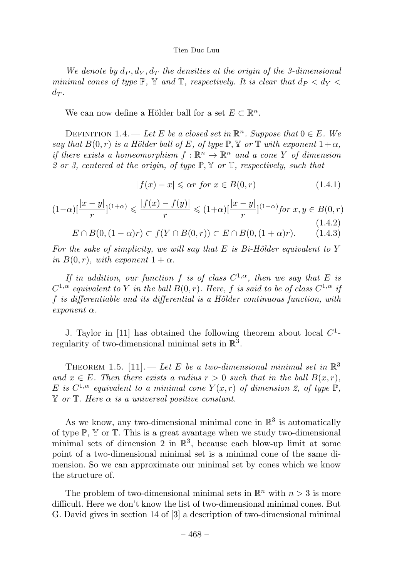We denote by  $d_P$ ,  $d_V$ ,  $d_T$  the densities at the origin of the 3-dimensional minimal cones of type  $\mathbb{P}$ ,  $\mathbb{Y}$  and  $\mathbb{T}$ , respectively. It is clear that  $d_P < d_Y <$  $d_T$ .

We can now define a Hölder ball for a set  $E \subset \mathbb{R}^n$ .

DEFINITION 1.4. — Let E be a closed set in  $\mathbb{R}^n$ . Suppose that  $0 \in E$ . We say that  $B(0,r)$  is a Hölder ball of E, of type  $\mathbb{P}, \mathbb{Y}$  or  $\mathbb{T}$  with exponent  $1+\alpha$ , if there exists a homeomorphism  $f : \mathbb{R}^n \to \mathbb{R}^n$  and a cone Y of dimension 2 or 3, centered at the origin, of type  $\mathbb{P}, \mathbb{Y}$  or  $\mathbb{T}$ , respectively, such that

$$
|f(x) - x| \leq \alpha r \text{ for } x \in B(0, r)
$$
\n
$$
(1.4.1)
$$

$$
(1-\alpha)\left[\frac{|x-y|}{r}\right]^{(1+\alpha)} \leq \frac{|f(x)-f(y)|}{r} \leq (1+\alpha)\left[\frac{|x-y|}{r}\right]^{(1-\alpha)} \text{ for } x, y \in B(0, r) \tag{1.4.2}
$$

$$
E \cap B(0, (1 - \alpha)r) \subset f(Y \cap B(0, r)) \subset E \cap B(0, (1 + \alpha)r). \tag{1.4.3}
$$

For the sake of simplicity, we will say that  $E$  is Bi-Hölder equivalent to Y in  $B(0,r)$ , with exponent  $1+\alpha$ .

If in addition, our function f is of class  $C^{1,\alpha}$ , then we say that E is  $C^{1,\alpha}$  equivalent to Y in the ball  $B(0,r)$ . Here, f is said to be of class  $C^{1,\alpha}$  if f is differentiable and its differential is a Hölder continuous function, with  $exponent \alpha$ .

J. Taylor in [11] has obtained the following theorem about local  $C^1$ regularity of two-dimensional minimal sets in  $\mathbb{R}^3$ .

THEOREM 1.5. [11]. — Let E be a two-dimensional minimal set in  $\mathbb{R}^3$ and  $x \in E$ . Then there exists a radius  $r > 0$  such that in the ball  $B(x,r)$ , E is  $C^{1,\alpha}$  equivalent to a minimal cone  $Y(x,r)$  of dimension 2, of type  $\mathbb{P}$ ,  $\mathbb Y$  or  $\mathbb T$ . Here  $\alpha$  is a universal positive constant.

As we know, any two-dimensional minimal cone in  $\mathbb{R}^3$  is automatically of type  $\mathbb{P}$ ,  $\mathbb{Y}$  or  $\mathbb{T}$ . This is a great avantage when we study two-dimensional minimal sets of dimension 2 in  $\mathbb{R}^3$ , because each blow-up limit at some point of a two-dimensional minimal set is a minimal cone of the same dimension. So we can approximate our minimal set by cones which we know the structure of.

The problem of two-dimensional minimal sets in  $\mathbb{R}^n$  with  $n > 3$  is more difficult. Here we don't know the list of two-dimensional minimal cones. But G. David gives in section 14 of [3] a description of two-dimensional minimal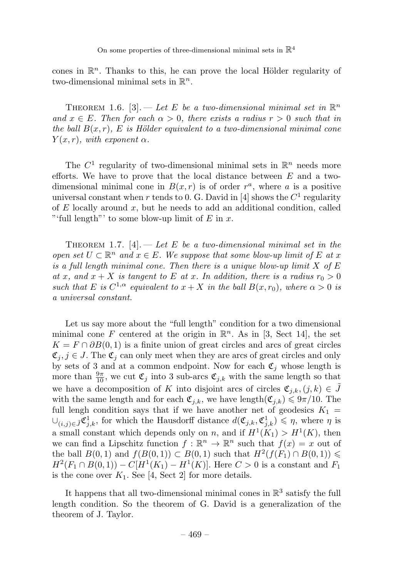cones in  $\mathbb{R}^n$ . Thanks to this, he can prove the local Hölder regularity of two-dimensional minimal sets in  $\mathbb{R}^n$ .

THEOREM 1.6. [3]. — Let E be a two-dimensional minimal set in  $\mathbb{R}^n$ and  $x \in E$ . Then for each  $\alpha > 0$ , there exists a radius  $r > 0$  such that in the ball  $B(x, r)$ , E is Hölder equivalent to a two-dimensional minimal cone  $Y(x, r)$ , with exponent  $\alpha$ .

The  $C^1$  regularity of two-dimensional minimal sets in  $\mathbb{R}^n$  needs more efforts. We have to prove that the local distance between  $E$  and a twodimensional minimal cone in  $B(x, r)$  is of order  $r<sup>a</sup>$ , where a is a positive universal constant when r tends to 0. G. David in [4] shows the  $C<sup>1</sup>$  regularity of  $E$  locally around  $x$ , but he needs to add an additional condition, called "'full length"' to some blow-up limit of  $E$  in  $x$ .

THEOREM 1.7. [4]. — Let E be a two-dimensional minimal set in the open set  $U \subset \mathbb{R}^n$  and  $x \in E$ . We suppose that some blow-up limit of E at x is a full length minimal cone. Then there is a unique blow-up limit  $X$  of  $E$ at x, and  $x + X$  is tangent to E at x. In addition, there is a radius  $r_0 > 0$ such that E is  $C^{1,\alpha}$  equivalent to  $x + X$  in the ball  $B(x, r_0)$ , where  $\alpha > 0$  is a universal constant.

Let us say more about the "full length" condition for a two dimensional minimal cone F centered at the origin in  $\mathbb{R}^n$ . As in [3, Sect 14], the set  $K = F \cap \partial B(0,1)$  is a finite union of great circles and arcs of great circles  $\mathfrak{C}_i, j \in J$ . The  $\mathfrak{C}_i$  can only meet when they are arcs of great circles and only by sets of 3 and at a common endpoint. Now for each  $\mathfrak{C}_i$  whose length is more than  $\frac{9\pi}{10}$ , we cut  $\mathfrak{C}_j$  into 3 sub-arcs  $\mathfrak{C}_{j,k}$  with the same length so that we have a decomposition of K into disjoint arcs of circles  $\mathfrak{C}_{i,k},(j,k) \in \tilde{J}$ with the same length and for each  $\mathfrak{C}_{j,k}$ , we have length $(\mathfrak{C}_{j,k}) \leqslant 9\pi/10$ . The full lengh condition says that if we have another net of geodesics  $K_1$  =  $\cup_{(i,j)\in\tilde{J}} \mathfrak{C}_{j,k}^1$ , for which the Hausdorff distance  $d(\mathfrak{C}_{j,k}, \mathfrak{C}_{j,k}^1) \leqslant \eta$ , where  $\eta$  is a small constant which depends only on n, and if  $H^1(K_1) > H^1(K)$ , then we can find a Lipschitz function  $f : \mathbb{R}^n \to \mathbb{R}^n$  such that  $f(x) = x$  out of the ball  $B(0,1)$  and  $f(B(0,1)) \subset B(0,1)$  such that  $H^2(f(F_1) \cap B(0,1)) \le$  $H^2(F_1 \cap B(0,1)) - C[H^1(K_1) - H^1(K)]$ . Here  $C > 0$  is a constant and  $F_1$ is the cone over  $K_1$ . See [4, Sect 2] for more details.

It happens that all two-dimensional minimal cones in  $\mathbb{R}^3$  satisfy the full length condition. So the theorem of G. David is a generalization of the theorem of J. Taylor.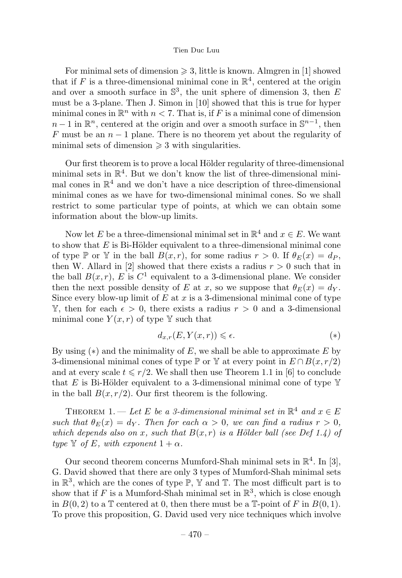For minimal sets of dimension  $\geq 3$ , little is known. Almgren in [1] showed that if F is a three-dimensional minimal cone in  $\mathbb{R}^4$ , centered at the origin and over a smooth surface in  $\mathbb{S}^3$ , the unit sphere of dimension 3, then E must be a 3-plane. Then J. Simon in [10] showed that this is true for hyper minimal cones in  $\mathbb{R}^n$  with  $n < 7$ . That is, if F is a minimal cone of dimension  $n-1$  in  $\mathbb{R}^n$ , centered at the origin and over a smooth surface in  $\mathbb{S}^{n-1}$ , then F must be an  $n-1$  plane. There is no theorem yet about the regularity of minimal sets of dimension  $\geq 3$  with singularities.

Our first theorem is to prove a local Hölder regularity of three-dimensional minimal sets in  $\mathbb{R}^4$ . But we don't know the list of three-dimensional minimal cones in  $\mathbb{R}^4$  and we don't have a nice description of three-dimensional minimal cones as we have for two-dimensional minimal cones. So we shall restrict to some particular type of points, at which we can obtain some information about the blow-up limits.

Now let E be a three-dimensional minimal set in  $\mathbb{R}^4$  and  $x \in E$ . We want to show that  $E$  is Bi-Hölder equivalent to a three-dimensional minimal cone of type P or Y in the ball  $B(x, r)$ , for some radius  $r > 0$ . If  $\theta_E(x) = d_P$ , then W. Allard in [2] showed that there exists a radius  $r > 0$  such that in the ball  $B(x, r)$ , E is  $C<sup>1</sup>$  equivalent to a 3-dimensional plane. We consider then the next possible density of E at x, so we suppose that  $\theta_E(x) = d_Y$ . Since every blow-up limit of  $E$  at  $x$  is a 3-dimensional minimal cone of type Y, then for each  $\epsilon > 0$ , there exists a radius  $r > 0$  and a 3-dimensional minimal cone  $Y(x, r)$  of type Y such that

$$
d_{x,r}(E, Y(x,r)) \leq \epsilon. \tag{*}
$$

By using  $(*)$  and the minimality of E, we shall be able to approximate E by 3-dimensional minimal cones of type  $\mathbb P$  or Y at every point in  $E \cap B(x, r/2)$ and at every scale  $t \leq r/2$ . We shall then use Theorem 1.1 in [6] to conclude that E is Bi-Hölder equivalent to a 3-dimensional minimal cone of type  $\mathbb {Y}$ in the ball  $B(x, r/2)$ . Our first theorem is the following.

THEOREM 1. — Let E be a 3-dimensional minimal set in  $\mathbb{R}^4$  and  $x \in E$ such that  $\theta_E(x) = d_Y$ . Then for each  $\alpha > 0$ , we can find a radius  $r > 0$ , which depends also on x, such that  $B(x, r)$  is a Hölder ball (see Def 1.4) of type Y of E, with exponent  $1 + \alpha$ .

Our second theorem concerns Mumford-Shah minimal sets in  $\mathbb{R}^4$ . In [3], G. David showed that there are only 3 types of Mumford-Shah minimal sets in  $\mathbb{R}^3$ , which are the cones of type  $\mathbb{P}$ , Y and T. The most difficult part is to show that if F is a Mumford-Shah minimal set in  $\mathbb{R}^3$ , which is close enough in  $B(0, 2)$  to a T centered at 0, then there must be a T-point of F in  $B(0, 1)$ . To prove this proposition, G. David used very nice techniques which involve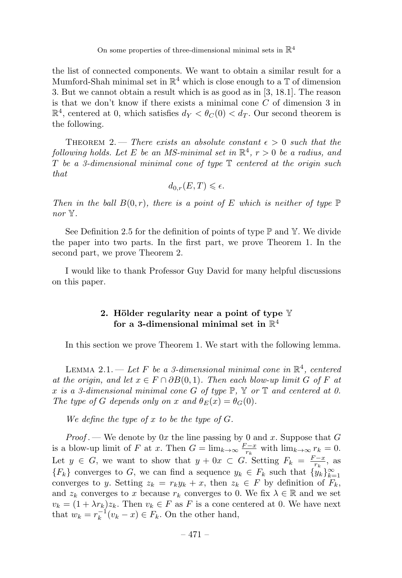the list of connected components. We want to obtain a similar result for a Mumford-Shah minimal set in  $\mathbb{R}^4$  which is close enough to a  $\mathbb T$  of dimension 3. But we cannot obtain a result which is as good as in [3, 18.1]. The reason is that we don't know if there exists a minimal cone  $C$  of dimension 3 in  $\mathbb{R}^4$ , centered at 0, which satisfies  $d_V < \theta_C(0) < d_T$ . Our second theorem is the following.

THEOREM 2. — There exists an absolute constant  $\epsilon > 0$  such that the following holds. Let E be an MS-minimal set in  $\mathbb{R}^4$ ,  $r > 0$  be a radius, and  $T$  be a 3-dimensional minimal cone of type  $T$  centered at the origin such that

$$
d_{0,r}(E,T) \leq \epsilon.
$$

Then in the ball  $B(0,r)$ , there is a point of E which is neither of type  $\mathbb P$ nor Y.

See Definition 2.5 for the definition of points of type  $\mathbb P$  and  $\mathbb Y$ . We divide the paper into two parts. In the first part, we prove Theorem 1. In the second part, we prove Theorem 2.

I would like to thank Professor Guy David for many helpful discussions on this paper.

# 2. Hölder regularity near a point of type  $\mathbb {Y}$ for a 3-dimensional minimal set in  $\mathbb{R}^4$

In this section we prove Theorem 1. We start with the following lemma.

LEMMA 2.1. — Let F be a 3-dimensional minimal cone in  $\mathbb{R}^4$ , centered at the origin, and let  $x \in F \cap \partial B(0,1)$ . Then each blow-up limit G of F at x is a 3-dimensional minimal cone G of type  $\mathbb{P}$ , Y or T and centered at 0. The type of G depends only on x and  $\theta_E(x) = \theta_G(0)$ .

We define the type of  $x$  to be the type of  $G$ .

*Proof*. — We denote by 0x the line passing by 0 and x. Suppose that G is a blow-up limit of F at x. Then  $G = \lim_{k \to \infty} \frac{F - x}{r_k}$  with  $\lim_{k \to \infty} r_k = 0$ . Let  $y \in G$ , we want to show that  $y + 0x \subset G$ . Setting  $F_k = \frac{F - x}{r_k}$ , as  ${F_k}$  converges to G, we can find a sequence  $y_k \in F_k$  such that  ${y_k}_{k=1}^{\infty}$ converges to y. Setting  $z_k = r_k y_k + x$ , then  $z_k \in F$  by definition of  $\overline{F_k}$ , and  $z_k$  converges to x because  $r_k$  converges to 0. We fix  $\lambda \in \mathbb{R}$  and we set  $v_k = (1 + \lambda r_k)z_k$ . Then  $v_k \in F$  as F is a cone centered at 0. We have next that  $w_k = r_k^{-1}(v_k - x) \in F_k$ . On the other hand,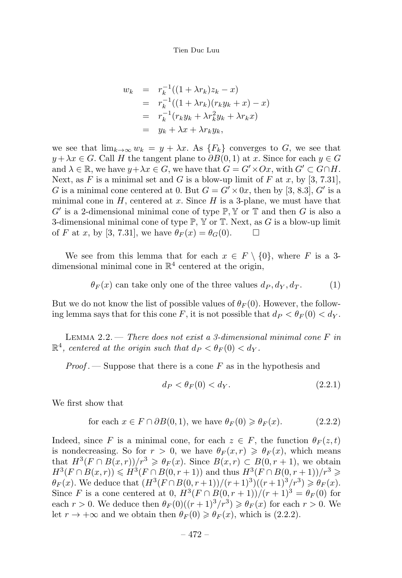$$
w_k = r_k^{-1}((1 + \lambda r_k)z_k - x)
$$
  
=  $r_k^{-1}((1 + \lambda r_k)(r_k y_k + x) - x)$   
=  $r_k^{-1}(r_k y_k + \lambda r_k^2 y_k + \lambda r_k x)$   
=  $y_k + \lambda x + \lambda r_k y_k$ ,

we see that  $\lim_{k\to\infty} w_k = y + \lambda x$ . As  $\{F_k\}$  converges to G, we see that  $y + \lambda x \in G$ . Call H the tangent plane to  $\partial B(0,1)$  at x. Since for each  $y \in G$ and  $\lambda \in \mathbb{R}$ , we have  $y + \lambda x \in G$ , we have that  $G = G' \times Ox$ , with  $G' \subset G \cap H$ . Next, as F is a minimal set and G is a blow-up limit of F at x, by [3, 7.31], G is a minimal cone centered at 0. But  $G = G' \times 0x$ , then by [3, 8.3], G' is a minimal cone in  $H$ , centered at x. Since  $H$  is a 3-plane, we must have that  $G'$  is a 2-dimensional minimal cone of type  $\mathbb{P}, \mathbb{Y}$  or  $\mathbb{T}$  and then G is also a 3-dimensional minimal cone of type  $\mathbb{P}$ ,  $\mathbb {Y}$  or  $\mathbb {T}$ . Next, as G is a blow-up limit of F at x, by [3, 7.31], we have  $\theta_F(x) = \theta_G(0)$ .  $\Box$ 

We see from this lemma that for each  $x \in F \setminus \{0\}$ , where F is a 3dimensional minimal cone in  $\mathbb{R}^4$  centered at the origin,

 $\theta_F(x)$  can take only one of the three values  $d_P, d_Y, d_T$ . (1)

But we do not know the list of possible values of  $\theta_F(0)$ . However, the following lemma says that for this cone F, it is not possible that  $d_P < \theta_F(0) < d_V$ .

LEMMA 2.2. — There does not exist a 3-dimensional minimal cone  $F$  in  $\mathbb{R}^4$ , centered at the origin such that  $d_P < \theta_F(0) < d_V$ .

 $Proof.$  – Suppose that there is a cone  $F$  as in the hypothesis and

$$
d_P < \theta_F(0) < d_Y. \tag{2.2.1}
$$

We first show that

for each 
$$
x \in F \cap \partial B(0, 1)
$$
, we have  $\theta_F(0) \ge \theta_F(x)$ . (2.2.2)

Indeed, since F is a minimal cone, for each  $z \in F$ , the function  $\theta_F(z,t)$ is nondecreasing. So for  $r > 0$ , we have  $\theta_F(x,r) \geq \theta_F(x)$ , which means that  $H^3(F \cap B(x,r))/r^3 \geq \theta_F(x)$ . Since  $B(x,r) \subset B(0,r+1)$ , we obtain  $H^{3}(F \cap B(x,r)) \leq H^{3}(F \cap B(0,r+1))$  and thus  $H^{3}(F \cap B(0,r+1))/r^{3} \geq$  $\theta_F(x)$ . We deduce that  $(H^3(F \cap B(0, r+1))/(r+1)^3)((r+1)^3/r^3) \geq \theta_F(x)$ . Since F is a cone centered at 0,  $H^3(F \cap B(0, r+1))/(r+1)^3 = \theta_F(0)$  for each  $r > 0$ . We deduce then  $\theta_F(0)((r+1)^3/r^3) \ge \theta_F(x)$  for each  $r > 0$ . We let  $r \to +\infty$  and we obtain then  $\theta_F(0) \geq \theta_F(x)$ , which is (2.2.2).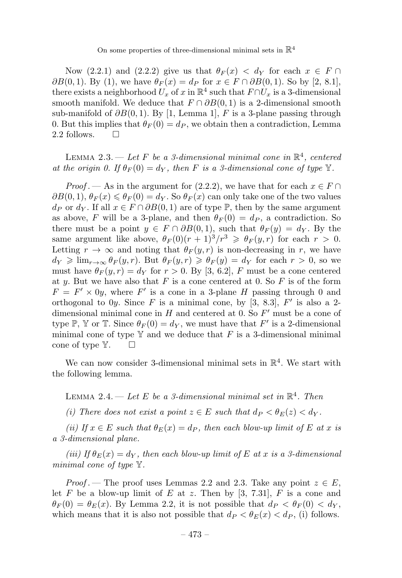Now (2.2.1) and (2.2.2) give us that  $\theta_F(x) < d_Y$  for each  $x \in F \cap$  $\partial B(0,1)$ . By (1), we have  $\theta_F(x) = d_P$  for  $x \in F \cap \partial B(0,1)$ . So by [2, 8.1], there exists a neighborhood  $U_x$  of x in  $\mathbb{R}^4$  such that  $F \cap U_x$  is a 3-dimensional smooth manifold. We deduce that  $F \cap \partial B(0,1)$  is a 2-dimensional smooth sub-manifold of  $\partial B(0,1)$ . By [1, Lemma 1], F is a 3-plane passing through 0. But this implies that  $\theta_F(0) = d_P$ , we obtain then a contradiction, Lemma 2.2 follows.  $\square$ 

LEMMA 2.3. — Let F be a 3-dimensional minimal cone in  $\mathbb{R}^4$ , centered at the origin 0. If  $\theta_F(0) = d_Y$ , then F is a 3-dimensional cone of type Y.

*Proof* . — As in the argument for (2.2.2), we have that for each  $x \in F \cap$  $\partial B(0,1), \theta_F(x) \leq \theta_F(0) = d_Y$ . So  $\theta_F(x)$  can only take one of the two values  $d_P$  or  $d_Y$ . If all  $x \in F \cap \partial B(0,1)$  are of type  $\mathbb{P}$ , then by the same argument as above, F will be a 3-plane, and then  $\theta_F(0) = d_P$ , a contradiction. So there must be a point  $y \in F \cap \partial B(0,1)$ , such that  $\theta_F(y) = dy$ . By the same argument like above,  $\theta_F(0)(r+1)^3/r^3 \geq \theta_F(y,r)$  for each  $r > 0$ . Letting  $r \to \infty$  and noting that  $\theta_F(y,r)$  is non-decreasing in r, we have  $d_Y \geqslant \lim_{r \to \infty} \theta_F(y,r)$ . But  $\theta_F(y,r) \geqslant \theta_F(y) = d_Y$  for each  $r > 0$ , so we must have  $\theta_F(y,r) = d_Y$  for  $r > 0$ . By [3, 6.2], F must be a cone centered at y. But we have also that F is a cone centered at 0. So F is of the form  $F = F' \times 0y$ , where F' is a cone in a 3-plane H passing through 0 and orthogonal to  $0y$ . Since F is a minimal cone, by [3, 8.3], F' is also a 2dimensional minimal cone in H and centered at 0. So  $F'$  must be a cone of type P, Y or T. Since  $\theta_F(0) = d_Y$ , we must have that F' is a 2-dimensional minimal cone of type  $Y$  and we deduce that F is a 3-dimensional minimal cone of type  $\mathbb{Y}$ .  $\Box$ 

We can now consider 3-dimensional minimal sets in  $\mathbb{R}^4$ . We start with the following lemma.

LEMMA 2.4. — Let E be a 3-dimensional minimal set in  $\mathbb{R}^4$ . Then

(i) There does not exist a point  $z \in E$  such that  $d_P < \theta_E(z) < d_Y$ .

(ii) If  $x \in E$  such that  $\theta_E(x) = d_P$ , then each blow-up limit of E at x is a 3-dimensional plane.

(iii) If  $\theta_E(x) = d_Y$ , then each blow-up limit of E at x is a 3-dimensional minimal cone of type Y.

*Proof* . — The proof uses Lemmas 2.2 and 2.3. Take any point  $z \in E$ , let F be a blow-up limit of E at z. Then by [3, 7.31], F is a cone and  $\theta_F(0) = \theta_E(x)$ . By Lemma 2.2, it is not possible that  $d_P < \theta_F(0) < d_Y$ , which means that it is also not possible that  $d_P < \theta_E(x) < d_P$ , (i) follows.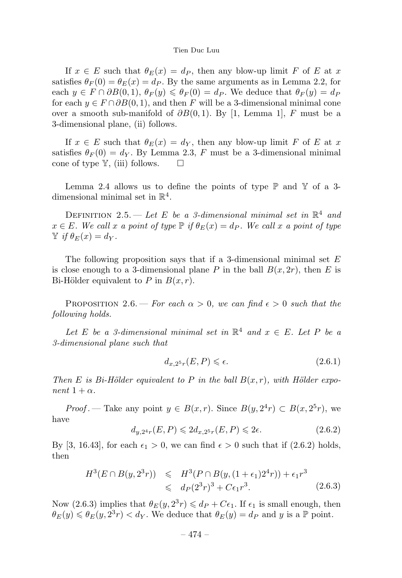If  $x \in E$  such that  $\theta_E(x) = d_P$ , then any blow-up limit F of E at x satisfies  $\theta_F(0) = \theta_E(x) = d_P$ . By the same arguments as in Lemma 2.2, for each  $y \in F \cap \partial B(0,1), \theta_F(y) \leq \theta_F(0) = d_P$ . We deduce that  $\theta_F(y) = d_F$ for each  $y \in F \cap \partial B(0,1)$ , and then F will be a 3-dimensional minimal cone over a smooth sub-manifold of  $\partial B(0,1)$ . By [1, Lemma 1], F must be a 3-dimensional plane, (ii) follows.

If  $x \in E$  such that  $\theta_E(x) = d_Y$ , then any blow-up limit F of E at x satisfies  $\theta_F(0) = d_Y$ . By Lemma 2.3, F must be a 3-dimensional minimal cone of type  $\mathbb{Y}$ , (iii) follows.  $\square$ 

Lemma 2.4 allows us to define the points of type  $\mathbb P$  and  $\mathbb Y$  of a 3dimensional minimal set in  $\mathbb{R}^4$ .

DEFINITION 2.5. — Let E be a 3-dimensional minimal set in  $\mathbb{R}^4$  and  $x \in E$ . We call x a point of type  $\mathbb{P}$  if  $\theta_E(x) = d_P$ . We call x a point of type  $\mathbb{Y}$  if  $\theta_E(x) = d_Y$ .

The following proposition says that if a 3-dimensional minimal set  $E$ is close enough to a 3-dimensional plane P in the ball  $B(x, 2r)$ , then E is Bi-Hölder equivalent to P in  $B(x, r)$ .

PROPOSITION 2.6. — For each  $\alpha > 0$ , we can find  $\epsilon > 0$  such that the following holds.

Let E be a 3-dimensional minimal set in  $\mathbb{R}^4$  and  $x \in E$ . Let P be a 3-dimensional plane such that

$$
d_{x,2^5r}(E,P) \le \epsilon. \tag{2.6.1}
$$

Then E is Bi-Hölder equivalent to P in the ball  $B(x, r)$ , with Hölder exponent  $1 + \alpha$ .

*Proof* . — Take any point  $y \in B(x, r)$ . Since  $B(y, 2^4r) \subset B(x, 2^5r)$ , we have

$$
d_{y,2^{4}r}(E,P) \leq 2d_{x,2^{5}r}(E,P) \leq 2\epsilon. \tag{2.6.2}
$$

By [3, 16.43], for each  $\epsilon_1 > 0$ , we can find  $\epsilon > 0$  such that if (2.6.2) holds, then

$$
H^3(E \cap B(y, 2^3r)) \leq H^3(P \cap B(y, (1 + \epsilon_1)2^4r)) + \epsilon_1 r^3
$$
  
 
$$
\leq d_P(2^3r)^3 + C\epsilon_1 r^3.
$$
 (2.6.3)

Now (2.6.3) implies that  $\theta_E(y, 2^3r) \leq d_P + C\epsilon_1$ . If  $\epsilon_1$  is small enough, then  $\theta_E(y) \leq \theta_E(y, 2^3r) < d_Y$ . We deduce that  $\theta_E(y) = d_P$  and y is a  $\mathbb P$  point.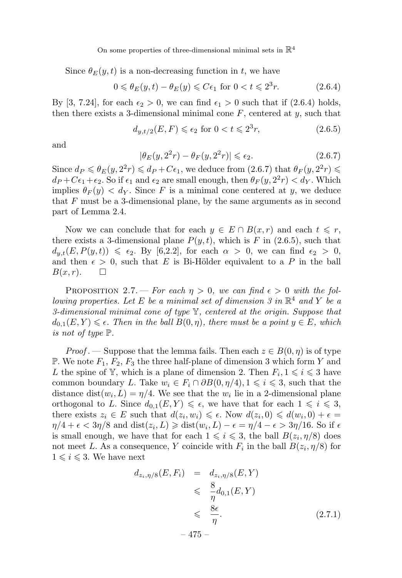Since  $\theta_E(y, t)$  is a non-decreasing function in t, we have

$$
0 \leq \theta_E(y, t) - \theta_E(y) \leq C\epsilon_1 \text{ for } 0 < t \leq 2^3r. \tag{2.6.4}
$$

By [3, 7.24], for each  $\epsilon_2 > 0$ , we can find  $\epsilon_1 > 0$  such that if (2.6.4) holds, then there exists a 3-dimensional minimal cone  $F$ , centered at  $y$ , such that

$$
d_{y,t/2}(E,F) \leq \epsilon_2 \text{ for } 0 < t \leq 2^3r,
$$
\n
$$
(2.6.5)
$$

and

$$
|\theta_E(y, 2^2r) - \theta_F(y, 2^2r)| \le \epsilon_2. \tag{2.6.7}
$$

Since  $d_P \leq \theta_E(y, 2^2r) \leq d_P + C\epsilon_1$ , we deduce from  $(2.6.7)$  that  $\theta_F(y, 2^2r) \leq$  $d_P + C\epsilon_1 + \epsilon_2$ . So if  $\epsilon_1$  and  $\epsilon_2$  are small enough, then  $\theta_F (y, 2^2r) < d_Y$ . Which implies  $\theta_F(y) < d_Y$ . Since F is a minimal cone centered at y, we deduce that  $F$  must be a 3-dimensional plane, by the same arguments as in second part of Lemma 2.4.

Now we can conclude that for each  $y \in E \cap B(x,r)$  and each  $t \leq r$ , there exists a 3-dimensional plane  $P(y, t)$ , which is F in (2.6.5), such that  $d_{y,t}(E, P(y,t)) \leq \epsilon_2$ . By [6,2.2], for each  $\alpha > 0$ , we can find  $\epsilon_2 > 0$ , and then  $\epsilon > 0$ , such that E is Bi-Hölder equivalent to a P in the ball  $B(x, r)$ .  $\Box$ 

PROPOSITION 2.7. — For each  $n > 0$ , we can find  $\epsilon > 0$  with the following properties. Let E be a minimal set of dimension 3 in  $\mathbb{R}^4$  and Y be a 3-dimensional minimal cone of type  $\mathbb{Y}$ , centered at the origin. Suppose that  $d_{0,1}(E,Y) \leq \epsilon$ . Then in the ball  $B(0,\eta)$ , there must be a point  $y \in E$ , which is not of type P.

*Proof* . — Suppose that the lemma fails. Then each  $z \in B(0, \eta)$  is of type P. We note  $F_1, F_2, F_3$  the three half-plane of dimension 3 which form Y and L the spine of  $\mathbb{Y}$ , which is a plane of dimension 2. Then  $F_i, 1 \leq i \leq 3$  have common boundary L. Take  $w_i \in F_i \cap \partial B(0, \eta/4), 1 \leq i \leq 3$ , such that the distance dist $(w_i, L) = \eta/4$ . We see that the  $w_i$  lie in a 2-dimensional plane orthogonal to L. Since  $d_{0,1}(E,Y) \leq \epsilon$ , we have that for each  $1 \leq i \leq 3$ , there exists  $z_i \in E$  such that  $d(z_i, w_i) \leq \epsilon$ . Now  $d(z_i, 0) \leq d(w_i, 0) + \epsilon =$  $\eta/4 + \epsilon < 3\eta/8$  and  $dist(z_i, L) \geq \text{dist}(w_i, L) - \epsilon = \eta/4 - \epsilon > 3\eta/16$ . So if  $\epsilon$ is small enough, we have that for each  $1 \leq i \leq 3$ , the ball  $B(z_i, \eta/8)$  does not meet L. As a consequence, Y coincide with  $F_i$  in the ball  $B(z_i, \eta/8)$  for  $1 \leq i \leq 3$ . We have next

$$
d_{z_i, \eta/8}(E, F_i) = d_{z_i, \eta/8}(E, Y)
$$
  
\n
$$
\leq \frac{8}{\eta} d_{0,1}(E, Y)
$$
  
\n
$$
\leq \frac{8\epsilon}{\eta}.
$$
 (2.7.1)

– 475 –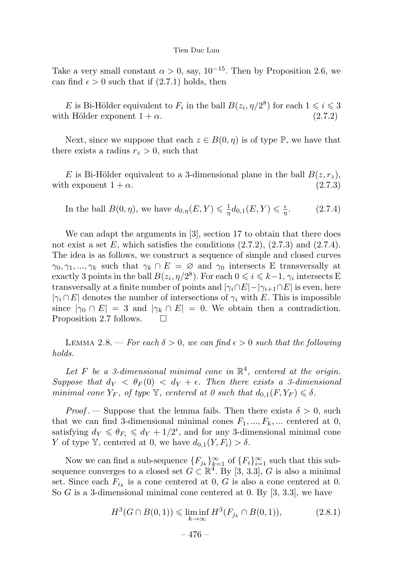Take a very small constant  $\alpha > 0$ , say, 10<sup>-15</sup>. Then by Proposition 2.6, we can find  $\epsilon > 0$  such that if  $(2.7.1)$  holds, then

E is Bi-Hölder equivalent to  $F_i$  in the ball  $B(z_i, \eta/2^8)$  for each  $1 \leq i \leq 3$ with Hölder exponent  $1 + \alpha$ . (2.7.2)

Next, since we suppose that each  $z \in B(0, \eta)$  is of type  $\mathbb{P}$ , we have that there exists a radius  $r_z > 0$ , such that

E is Bi-Hölder equivalent to a 3-dimensional plane in the ball  $B(z, r_z)$ , with exponent  $1 + \alpha$ . (2.7.3)

In the ball 
$$
B(0, \eta)
$$
, we have  $d_{0,\eta}(E, Y) \leq \frac{1}{\eta} d_{0,1}(E, Y) \leq \frac{\epsilon}{\eta}$ . (2.7.4)

We can adapt the arguments in [3], section 17 to obtain that there does not exist a set  $E$ , which satisfies the conditions  $(2.7.2)$ ,  $(2.7.3)$  and  $(2.7.4)$ . The idea is as follows, we construct a sequence of simple and closed curves  $\gamma_0, \gamma_1, ..., \gamma_k$  such that  $\gamma_k \cap E = \emptyset$  and  $\gamma_0$  intersects E transversally at exactly 3 points in the ball  $B(z_i, \eta/2^8)$ . For each  $0 \le i \le k-1$ ,  $\gamma_i$  intersects E transversally at a finite number of points and  $|\gamma_i \cap E| - |\gamma_{i+1} \cap E|$  is even, here  $|\gamma_i \cap E|$  denotes the number of intersections of  $\gamma_i$  with E. This is impossible since  $|\gamma_0 \cap E| = 3$  and  $|\gamma_k \cap E| = 0$ . We obtain then a contradiction.<br>Proposition 2.7 follows. Proposition 2.7 follows.

LEMMA 2.8. — For each  $\delta > 0$ , we can find  $\epsilon > 0$  such that the following holds.

Let F be a 3-dimensional minimal cone in  $\mathbb{R}^4$ , centered at the origin. Suppose that  $d_Y < \theta_F(0) < d_Y + \epsilon$ . Then there exists a 3-dimensional minimal cone  $Y_F$ , of type  $\mathbb Y$ , centered at 0 such that  $d_{0,1}(F, Y_F) \leq \delta$ .

*Proof* . — Suppose that the lemma fails. Then there exists  $\delta > 0$ , such that we can find 3-dimensional minimal cones  $F_1, ..., F_k, ...$  centered at 0, satisfying  $d_Y \leq \theta_{F_i} \leq d_Y + 1/2^i$ , and for any 3-dimensional minimal cone Y of type Y, centered at 0, we have  $d_{0,1}(Y, F_i) > \delta$ .

Now we can find a sub-sequence  ${F_{j_k}}_{k=1}^{\infty}$  of  ${F_i}_{i=1}^{\infty}$  such that this subsequence converges to a closed set  $G \subset \mathbb{R}^4$ . By [3, 3.3], G is also a minimal set. Since each  $F_{i_k}$  is a cone centered at 0, G is also a cone centered at 0. So G is a 3-dimensional minimal cone centered at 0. By  $[3, 3.3]$ , we have

$$
H^{3}(G \cap B(0,1)) \leq \liminf_{k \to \infty} H^{3}(F_{j_{k}} \cap B(0,1)), \tag{2.8.1}
$$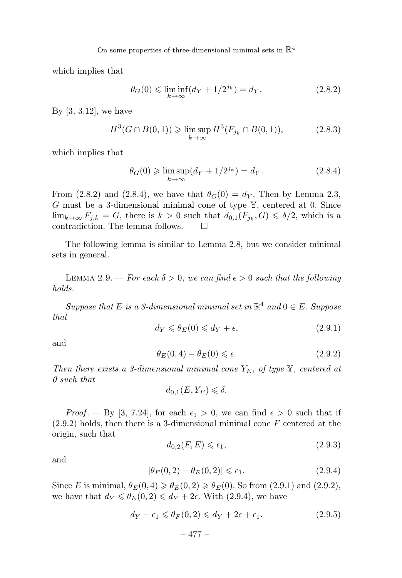which implies that

$$
\theta_G(0) \le \liminf_{k \to \infty} (d_Y + 1/2^{j_k}) = d_Y.
$$
 (2.8.2)

By [3, 3.12], we have

$$
H^3(G \cap \overline{B}(0,1)) \ge \limsup_{k \to \infty} H^3(F_{j_k} \cap \overline{B}(0,1)),
$$
 (2.8.3)

which implies that

$$
\theta_G(0) \geqslant \limsup_{k \to \infty} (d_Y + 1/2^{j_k}) = d_Y. \tag{2.8.4}
$$

From (2.8.2) and (2.8.4), we have that  $\theta_G(0) = d_Y$ . Then by Lemma 2.3, G must be a 3-dimensional minimal cone of type  $\mathbb{Y}$ , centered at 0. Since  $\lim_{k\to\infty} F_{j,k} = G$ , there is  $k > 0$  such that  $d_{0,1}(F_{j_k}, G) \leq \delta/2$ , which is a contradiction. The lemma follows.

The following lemma is similar to Lemma 2.8, but we consider minimal sets in general.

LEMMA 2.9. – For each  $\delta > 0$ , we can find  $\epsilon > 0$  such that the following holds.

Suppose that E is a 3-dimensional minimal set in  $\mathbb{R}^4$  and  $0 \in E$ . Suppose that

$$
d_Y \leqslant \theta_E(0) \leqslant d_Y + \epsilon,\tag{2.9.1}
$$

and

$$
\theta_E(0,4) - \theta_E(0) \le \epsilon. \tag{2.9.2}
$$

Then there exists a 3-dimensional minimal cone  $Y_E$ , of type  $\mathbb{Y}$ , centered at 0 such that

$$
d_{0,1}(E,Y_E) \leq \delta.
$$

*Proof.*  $-\text{By } [3, 7.24]$ , for each  $\epsilon_1 > 0$ , we can find  $\epsilon > 0$  such that if  $(2.9.2)$  holds, then there is a 3-dimensional minimal cone F centered at the origin, such that

$$
d_{0,2}(F,E) \leqslant \epsilon_1,\tag{2.9.3}
$$

and

$$
|\theta_F(0,2) - \theta_E(0,2)| \le \epsilon_1. \tag{2.9.4}
$$

Since E is minimal,  $\theta_E(0, 4) \ge \theta_E(0, 2) \ge \theta_E(0)$ . So from (2.9.1) and (2.9.2), we have that  $d_Y \leq \theta_E(0, 2) \leq d_Y + 2\epsilon$ . With (2.9.4), we have

$$
d_Y - \epsilon_1 \leqslant \theta_F(0, 2) \leqslant d_Y + 2\epsilon + \epsilon_1. \tag{2.9.5}
$$

$$
-477-
$$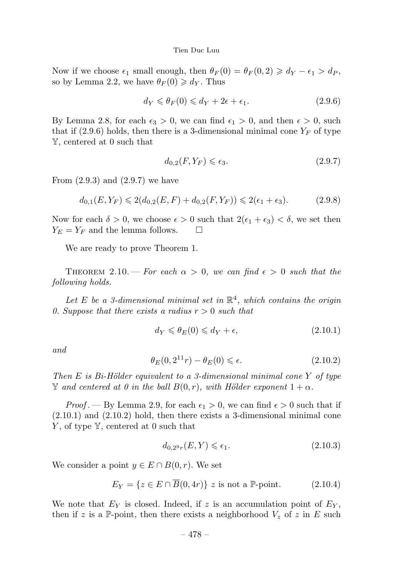Now if we choose  $\epsilon_1$  small enough, then  $\theta_F(0) = \theta_F(0, 2) \geq d_Y - \epsilon_1 > d_P$ , so by Lemma 2.2, we have  $\theta_F(0) \geq d_Y$ . Thus

$$
d_Y \leq \theta_F(0) \leq d_Y + 2\epsilon + \epsilon_1. \tag{2.9.6}
$$

By Lemma 2.8, for each  $\epsilon_3 > 0$ , we can find  $\epsilon_1 > 0$ , and then  $\epsilon > 0$ , such that if  $(2.9.6)$  holds, then there is a 3-dimensional minimal cone  $Y_F$  of type Y, centered at 0 such that

$$
d_{0,2}(F,Y_F) \leqslant \epsilon_3. \tag{2.9.7}
$$

From  $(2.9.3)$  and  $(2.9.7)$  we have

$$
d_{0,1}(E, Y_F) \leq 2(d_{0,2}(E, F) + d_{0,2}(F, Y_F)) \leq 2(\epsilon_1 + \epsilon_3). \tag{2.9.8}
$$

Now for each  $\delta > 0$ , we choose  $\epsilon > 0$  such that  $2(\epsilon_1 + \epsilon_3) < \delta$ , we set then  $Y_E = Y_F$  and the lemma follows.  $\square$ 

We are ready to prove Theorem 1.

THEOREM 2.10. – For each  $\alpha > 0$ , we can find  $\epsilon > 0$  such that the following holds.

Let E be a 3-dimensional minimal set in  $\mathbb{R}^4$ , which contains the origin 0. Suppose that there exists a radius  $r > 0$  such that

$$
d_Y \leqslant \theta_E(0) \leqslant d_Y + \epsilon,\tag{2.10.1}
$$

and

$$
\theta_E(0, 2^{11}r) - \theta_E(0) \le \epsilon. \tag{2.10.2}
$$

Then E is Bi-Hölder equivalent to a 3-dimensional minimal cone Y of type  $\mathbb Y$  and centered at 0 in the ball  $B(0,r)$ , with Hölder exponent  $1+\alpha$ .

*Proof*. — By Lemma 2.9, for each  $\epsilon_1 > 0$ , we can find  $\epsilon > 0$  such that if  $(2.10.1)$  and  $(2.10.2)$  hold, then there exists a 3-dimensional minimal cone  $Y$ , of type  $Y$ , centered at 0 such that

$$
d_{0,2^9r}(E,Y) \le \epsilon_1. \tag{2.10.3}
$$

We consider a point  $y \in E \cap B(0, r)$ . We set

$$
E_Y = \{ z \in E \cap \overline{B}(0, 4r) \} \ z \text{ is not a } \mathbb{P}\text{-point.}
$$
 (2.10.4)

We note that  $E_Y$  is closed. Indeed, if z is an accumulation point of  $E_Y$ , then if z is a P-point, then there exists a neighborhood  $V_z$  of z in E such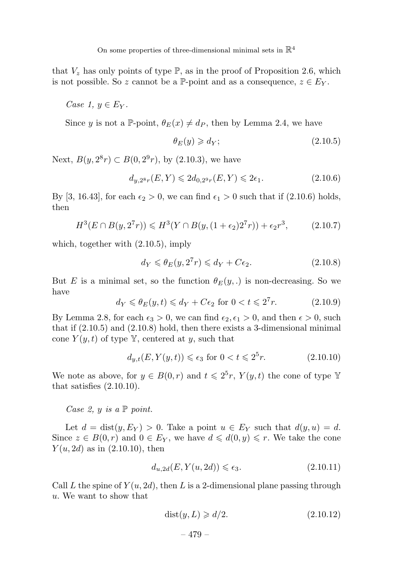that  $V_z$  has only points of type  $\mathbb{P}$ , as in the proof of Proposition 2.6, which is not possible. So z cannot be a P-point and as a consequence,  $z \in E_Y$ .

Case 1,  $y \in E_Y$ .

Since y is not a P-point,  $\theta_E(x) \neq d_P$ , then by Lemma 2.4, we have

$$
\theta_E(y) \geqslant d_Y; \tag{2.10.5}
$$

Next,  $B(y, 2^8r) \subset B(0, 2^9r)$ , by (2.10.3), we have

$$
d_{y,2^{8}r}(E,Y) \leq 2d_{0,2^{9}r}(E,Y) \leq 2\epsilon_{1}.
$$
 (2.10.6)

By [3, 16.43], for each  $\epsilon_2 > 0$ , we can find  $\epsilon_1 > 0$  such that if (2.10.6) holds, then

$$
H^{3}(E \cap B(y, 2^{7}r)) \leq H^{3}(Y \cap B(y, (1 + \epsilon_{2})2^{7}r)) + \epsilon_{2}r^{3}, \qquad (2.10.7)
$$

which, together with (2.10.5), imply

$$
d_Y \leq \theta_E(y, 2^7r) \leq d_Y + C\epsilon_2. \tag{2.10.8}
$$

But E is a minimal set, so the function  $\theta_F(y,.)$  is non-decreasing. So we have

$$
d_Y \leq \theta_E(y, t) \leq d_Y + C\epsilon_2 \text{ for } 0 < t \leq 2^7 r. \tag{2.10.9}
$$

By Lemma 2.8, for each  $\epsilon_3 > 0$ , we can find  $\epsilon_2, \epsilon_1 > 0$ , and then  $\epsilon > 0$ , such that if (2.10.5) and (2.10.8) hold, then there exists a 3-dimensional minimal cone  $Y(y,t)$  of type Y, centered at y, such that

$$
d_{y,t}(E, Y(y,t)) \le \epsilon_3 \text{ for } 0 < t \le 2^5r. \tag{2.10.10}
$$

We note as above, for  $y \in B(0,r)$  and  $t \leq 2^5r$ ,  $Y(y,t)$  the cone of type Y that satisfies  $(2.10.10)$ .

Case 2,  $y$  is a  $\mathbb P$  point.

Let  $d = \text{dist}(y, E_Y) > 0$ . Take a point  $u \in E_Y$  such that  $d(y, u) = d$ . Since  $z \in B(0,r)$  and  $0 \in E_Y$ , we have  $d \leq d(0,y) \leq r$ . We take the cone  $Y(u, 2d)$  as in  $(2.10.10)$ , then

$$
d_{u,2d}(E, Y(u,2d)) \le \epsilon_3. \tag{2.10.11}
$$

Call L the spine of  $Y(u, 2d)$ , then L is a 2-dimensional plane passing through u. We want to show that

$$
dist(y, L) \geqslant d/2. \tag{2.10.12}
$$

– 479 –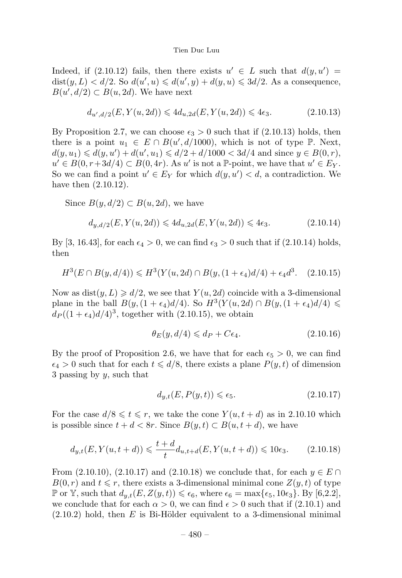Indeed, if (2.10.12) fails, then there exists  $u' \in L$  such that  $d(y, u') =$  $dist(y, L) < d/2$ . So  $d(u', u) \leq d(u', y) + d(y, u) \leq 3d/2$ . As a consequence,  $B(u', d/2) \subset B(u, 2d)$ . We have next

$$
d_{u',d/2}(E,Y(u,2d)) \leq 4d_{u,2d}(E,Y(u,2d)) \leq 4\epsilon_3. \tag{2.10.13}
$$

By Proposition 2.7, we can choose  $\epsilon_3 > 0$  such that if  $(2.10.13)$  holds, then there is a point  $u_1 \in E \cap B(u', d/1000)$ , which is not of type  $\mathbb{P}$ . Next,  $d(y, u_1) \le d(y, u') + d(u', u_1) \le d/2 + d/1000 < 3d/4$  and since  $y \in B(0, r)$ ,  $u' \in B(0, r+3d/4) \subset B(0, 4r)$ . As u' is not a P-point, we have that  $u' \in E_Y$ . So we can find a point  $u' \in E_Y$  for which  $d(y, u') < d$ , a contradiction. We have then (2.10.12).

Since  $B(y, d/2) \subset B(u, 2d)$ , we have

$$
d_{y,d/2}(E, Y(u, 2d)) \leq 4d_{u,2d}(E, Y(u, 2d)) \leq 4\epsilon_3. \tag{2.10.14}
$$

By [3, 16.43], for each  $\epsilon_4 > 0$ , we can find  $\epsilon_3 > 0$  such that if (2.10.14) holds, then

$$
H^{3}(E \cap B(y, d/4)) \leq H^{3}(Y(u, 2d) \cap B(y, (1 + \epsilon_{4})d/4) + \epsilon_{4}d^{3}. \quad (2.10.15)
$$

Now as  $dist(y, L) \geq d/2$ , we see that  $Y(u, 2d)$  coincide with a 3-dimensional plane in the ball  $B(y,(1 + \epsilon_4)d/4)$ . So  $H^3(Y(u, 2d) \cap B(y,(1 + \epsilon_4)d/4) \le$  $d_P((1 + \epsilon_4)d/4)^3$ , together with (2.10.15), we obtain

$$
\theta_E(y, d/4) \leqslant d_P + C\epsilon_4. \tag{2.10.16}
$$

By the proof of Proposition 2.6, we have that for each  $\epsilon_5 > 0$ , we can find  $\epsilon_4 > 0$  such that for each  $t \leq d/8$ , there exists a plane  $P(y, t)$  of dimension 3 passing by  $y$ , such that

$$
d_{y,t}(E, P(y,t)) \le \epsilon_5. \tag{2.10.17}
$$

For the case  $d/8 \leq t \leq r$ , we take the cone  $Y(u, t + d)$  as in 2.10.10 which is possible since  $t + d < 8r$ . Since  $B(y, t) \subset B(u, t + d)$ , we have

$$
d_{y,t}(E, Y(u, t+d)) \leq \frac{t+d}{t} d_{u,t+d}(E, Y(u, t+d)) \leq 10\epsilon_3.
$$
 (2.10.18)

From  $(2.10.10)$ ,  $(2.10.17)$  and  $(2.10.18)$  we conclude that, for each  $y \in E \cap$  $B(0,r)$  and  $t \leq r$ , there exists a 3-dimensional minimal cone  $Z(y,t)$  of type  $\mathbb P$  or  $\mathbb Y$ , such that  $d_{y,t}(E, Z(y, t)) \leq \epsilon_6$ , where  $\epsilon_6 = \max{\epsilon_5, 10\epsilon_3}$ . By [6,2.2], we conclude that for each  $\alpha > 0$ , we can find  $\epsilon > 0$  such that if  $(2.10.1)$  and  $(2.10.2)$  hold, then E is Bi-Hölder equivalent to a 3-dimensional minimal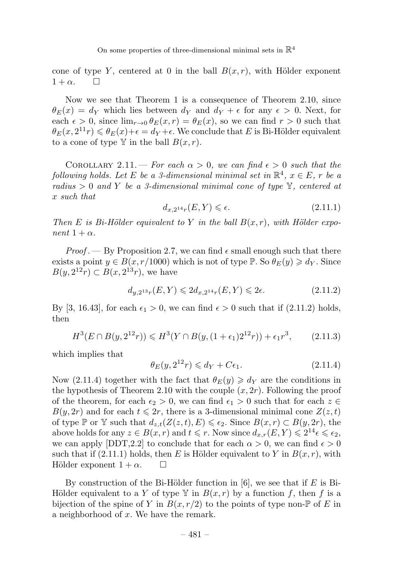cone of type Y, centered at 0 in the ball  $B(x, r)$ , with Hölder exponent  $1 + \alpha$ .  $\Box$ 

Now we see that Theorem 1 is a consequence of Theorem 2.10, since  $\theta_E(x) = d_Y$  which lies between  $d_Y$  and  $d_Y + \epsilon$  for any  $\epsilon > 0$ . Next, for each  $\epsilon > 0$ , since  $\lim_{r\to 0} \theta_F(x,r) = \theta_E(x)$ , so we can find  $r > 0$  such that  $\theta_E(x, 2^{11}r) \leqslant \theta_E(x)+\epsilon = d_Y+\epsilon$ . We conclude that E is Bi-Hölder equivalent to a cone of type  $\mathbb Y$  in the ball  $B(x, r)$ .

COROLLARY 2.11. — For each  $\alpha > 0$ , we can find  $\epsilon > 0$  such that the following holds. Let E be a 3-dimensional minimal set in  $\mathbb{R}^4$ ,  $x \in E$ , r be a radius  $> 0$  and Y be a 3-dimensional minimal cone of type  $\mathbb{Y}$ , centered at x such that

$$
d_{x,2^{14}r}(E,Y) \le \epsilon. \tag{2.11.1}
$$

Then E is Bi-Hölder equivalent to Y in the ball  $B(x, r)$ , with Hölder exponent  $1 + \alpha$ .

*Proof* . — By Proposition 2.7, we can find  $\epsilon$  small enough such that there exists a point  $y \in B(x, r/1000)$  which is not of type  $\mathbb{P}$ . So  $\theta_E(y) \geq d_Y$ . Since  $B(y, 2^{12}r) \subset B(x, 2^{13}r)$ , we have

$$
d_{y,2^{13}r}(E,Y) \leq 2d_{x,2^{14}r}(E,Y) \leq 2\epsilon. \tag{2.11.2}
$$

By [3, 16.43], for each  $\epsilon_1 > 0$ , we can find  $\epsilon > 0$  such that if (2.11.2) holds, then

$$
H^{3}(E \cap B(y, 2^{12}r)) \leq H^{3}(Y \cap B(y, (1 + \epsilon_{1})2^{12}r)) + \epsilon_{1}r^{3}, \qquad (2.11.3)
$$

which implies that

$$
\theta_E(y, 2^{12}r) \leq d_Y + C\epsilon_1. \tag{2.11.4}
$$

Now (2.11.4) together with the fact that  $\theta_E(y) \geq d_Y$  are the conditions in the hypothesis of Theorem 2.10 with the couple  $(x, 2r)$ . Following the proof of the theorem, for each  $\epsilon_2 > 0$ , we can find  $\epsilon_1 > 0$  such that for each  $z \in$  $B(y, 2r)$  and for each  $t \leq 2r$ , there is a 3-dimensional minimal cone  $Z(z, t)$ of type  $\mathbb P$  or  $\mathbb Y$  such that  $d_{z,t}(Z(z,t), E) \leqslant \epsilon_2$ . Since  $B(x,r) \subset B(y, 2r)$ , the above holds for any  $z \in B(x, r)$  and  $t \leq r$ . Now since  $d_{x,r}(E, Y) \leq 2^{14} \epsilon \leq \epsilon_2$ , we can apply [DDT,2.2] to conclude that for each  $\alpha > 0$ , we can find  $\epsilon > 0$ such that if (2.11.1) holds, then E is Hölder equivalent to Y in  $B(x, r)$ , with Hölder exponent  $1 + \alpha$ .  $\Box$ 

By construction of the Bi-Hölder function in [6], we see that if E is Bi-Hölder equivalent to a Y of type  $\mathbb{Y}$  in  $B(x,r)$  by a function f, then f is a bijection of the spine of Y in  $B(x, r/2)$  to the points of type non- $\mathbb P$  of E in a neighborhood of x. We have the remark.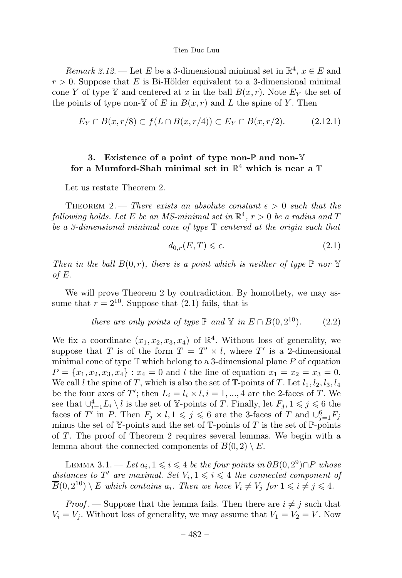Remark 2.12. — Let E be a 3-dimensional minimal set in  $\mathbb{R}^4$ ,  $x \in E$  and  $r > 0$ . Suppose that E is Bi-Hölder equivalent to a 3-dimensional minimal cone Y of type Y and centered at x in the ball  $B(x, r)$ . Note  $E<sub>Y</sub>$  the set of the points of type non- $\mathbb Y$  of E in  $B(x, r)$  and L the spine of Y. Then

$$
E_Y \cap B(x, r/8) \subset f(L \cap B(x, r/4)) \subset E_Y \cap B(x, r/2). \tag{2.12.1}
$$

# 3. Existence of a point of type non- $\mathbb P$  and non- $\mathbb Y$ for a Mumford-Shah minimal set in  $\mathbb{R}^4$  which is near a  $\mathbb T$

Let us restate Theorem 2.

THEOREM 2. — There exists an absolute constant  $\epsilon > 0$  such that the following holds. Let E be an MS-minimal set in  $\mathbb{R}^4$ ,  $r > 0$  be a radius and T be a 3-dimensional minimal cone of type  $\mathbb T$  centered at the origin such that

$$
d_{0,r}(E,T) \leq \epsilon. \tag{2.1}
$$

Then in the ball  $B(0, r)$ , there is a point which is neither of type  $\mathbb P$  nor  $\mathbb Y$ of E.

We will prove Theorem 2 by contradiction. By homothety, we may assume that  $r = 2^{10}$ . Suppose that (2.1) fails, that is

there are only points of type 
$$
\mathbb{P}
$$
 and  $\mathbb{Y}$  in  $E \cap B(0, 2^{10})$ . (2.2)

We fix a coordinate  $(x_1, x_2, x_3, x_4)$  of  $\mathbb{R}^4$ . Without loss of generality, we suppose that T is of the form  $T = T' \times l$ , where T' is a 2-dimensional minimal cone of type  $\mathbb T$  which belong to a 3-dimensional plane P of equation  $P = \{x_1, x_2, x_3, x_4\}$ :  $x_4 = 0$  and l the line of equation  $x_1 = x_2 = x_3 = 0$ . We call l the spine of T, which is also the set of  $\mathbb{T}$ -points of T. Let  $l_1, l_2, l_3, l_4$ be the four axes of T'; then  $L_i = l_i \times l, i = 1, ..., 4$  are the 2-faces of T. We see that  $\cup_{i=1}^4 L_i \setminus l$  is the set of Y-points of T. Finally, let  $F_j, 1 \leq j \leq 6$  the faces of T' in P. Then  $F_j \times l, 1 \leq j \leq 6$  are the 3-faces of T and  $\bigcup_{j=1}^6 F_j$ minus the set of  $\mathbb{Y}$ -points and the set of  $\mathbb{T}$ -points of T is the set of  $\mathbb{P}$ -points of T. The proof of Theorem 2 requires several lemmas. We begin with a lemma about the connected components of  $B(0, 2) \setminus E$ .

LEMMA 3.1. — Let  $a_i, 1 \leq i \leq 4$  be the four points in  $\partial B(0, 2^9) \cap P$  whose distances to T' are maximal. Set  $V_i, 1 \leq i \leq 4$  the connected component of  $\overline{B}(0, 2^{10}) \setminus E$  which contains  $a_i$ . Then we have  $V_i \neq V_j$  for  $1 \leq i \neq j \leq 4$ .

*Proof*. — Suppose that the lemma fails. Then there are  $i \neq j$  such that  $V_i = V_j$ . Without loss of generality, we may assume that  $V_1 = V_2 = V$ . Now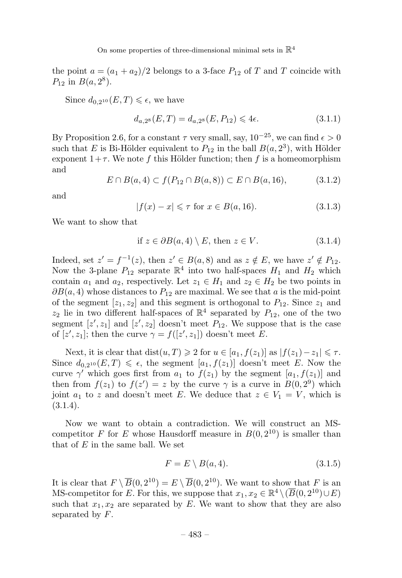the point  $a = (a_1 + a_2)/2$  belongs to a 3-face  $P_{12}$  of T and T coincide with  $P_{12}$  in  $B(a, 2^8)$ .

Since  $d_{0,2^{10}}(E,T) \leq \epsilon$ , we have

$$
d_{a,2} \in (E,T) = d_{a,2} \in (E,P_{12}) \leqslant 4\epsilon. \tag{3.1.1}
$$

By Proposition 2.6, for a constant  $\tau$  very small, say,  $10^{-25}$ , we can find  $\epsilon > 0$ such that E is Bi-Hölder equivalent to  $P_{12}$  in the ball  $B(a, 2^3)$ , with Hölder exponent  $1+\tau$ . We note f this Hölder function; then f is a homeomorphism and

$$
E \cap B(a, 4) \subset f(P_{12} \cap B(a, 8)) \subset E \cap B(a, 16), \tag{3.1.2}
$$

and

$$
|f(x) - x| \leq \tau \text{ for } x \in B(a, 16). \tag{3.1.3}
$$

We want to show that

if 
$$
z \in \partial B(a, 4) \setminus E
$$
, then  $z \in V$ . (3.1.4)

Indeed, set  $z' = f^{-1}(z)$ , then  $z' \in B(a, 8)$  and as  $z \notin E$ , we have  $z' \notin P_{12}$ . Now the 3-plane  $P_{12}$  separate  $\mathbb{R}^4$  into two half-spaces  $H_1$  and  $H_2$  which contain  $a_1$  and  $a_2$ , respectively. Let  $z_1 \in H_1$  and  $z_2 \in H_2$  be two points in  $\partial B(a, 4)$  whose distances to  $P_{12}$  are maximal. We see that a is the mid-point of the segment  $[z_1, z_2]$  and this segment is orthogonal to  $P_{12}$ . Since  $z_1$  and  $z_2$  lie in two different half-spaces of  $\mathbb{R}^4$  separated by  $P_{12}$ , one of the two segment  $[z', z_1]$  and  $[z', z_2]$  doesn't meet  $P_{12}$ . We suppose that is the case of  $[z', z_1]$ ; then the curve  $\gamma = f([z', z_1])$  doesn't meet E.

Next, it is clear that  $dist(u, T) \geq 2$  for  $u \in [a_1, f(z_1)]$  as  $|f(z_1) - z_1| \leq \tau$ . Since  $d_{0,2^{10}}(E,T) \leq \epsilon$ , the segment  $[a_1, f(z_1)]$  doesn't meet E. Now the curve  $\gamma'$  which goes first from  $a_1$  to  $f(z_1)$  by the segment  $[a_1, f(z_1)]$  and then from  $f(z_1)$  to  $f(z') = z$  by the curve  $\gamma$  is a curve in  $B(0, 2^9)$  which joint  $a_1$  to z and doesn't meet E. We deduce that  $z \in V_1 = V$ , which is  $(3.1.4).$ 

Now we want to obtain a contradiction. We will construct an MScompetitor F for E whose Hausdorff measure in  $B(0, 2^{10})$  is smaller than that of  $E$  in the same ball. We set

$$
F = E \setminus B(a, 4). \tag{3.1.5}
$$

It is clear that  $F \setminus \overline{B}(0, 2^{10}) = E \setminus \overline{B}(0, 2^{10})$ . We want to show that F is an MS-competitor for E. For this, we suppose that  $x_1, x_2 \in \mathbb{R}^4 \setminus (\overline{B}(0, 2^{10}) \cup E)$ such that  $x_1, x_2$  are separated by  $E$ . We want to show that they are also separated by  $F$ .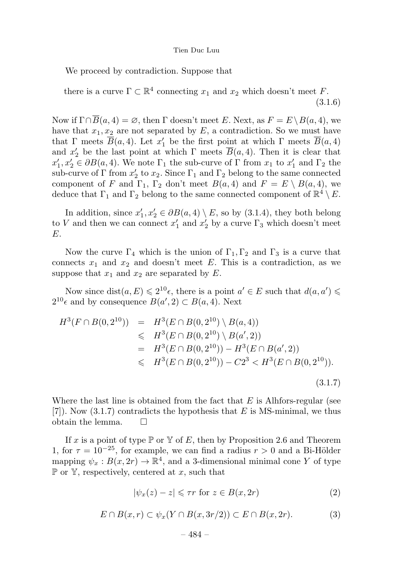We proceed by contradiction. Suppose that

there is a curve  $\Gamma \subset \mathbb{R}^4$  connecting  $x_1$  and  $x_2$  which doesn't meet F. (3.1.6)

Now if  $\Gamma \cap \overline{B}(a, 4) = \emptyset$ , then  $\Gamma$  doesn't meet E. Next, as  $F = E \setminus B(a, 4)$ , we have that  $x_1, x_2$  are not separated by E, a contradiction. So we must have that  $\Gamma$  meets  $B(a, 4)$ . Let  $x'_1$  be the first point at which  $\Gamma$  meets  $B(a, 4)$ and  $x_2'$  be the last point at which  $\Gamma$  meets  $B(a, 4)$ . Then it is clear that  $x_1', x_2' \in \partial B(a, 4)$ . We note  $\Gamma_1$  the sub-curve of  $\Gamma$  from  $x_1$  to  $x_1'$  and  $\Gamma_2$  the sub-curve of  $\Gamma$  from  $x_2'$  to  $x_2$ . Since  $\Gamma_1$  and  $\Gamma_2$  belong to the same connected component of F and  $\Gamma_1$ ,  $\Gamma_2$  don't meet  $B(a, 4)$  and  $F = E \setminus B(a, 4)$ , we deduce that  $\Gamma_1$  and  $\Gamma_2$  belong to the same connected component of  $\mathbb{R}^4 \setminus E$ .

In addition, since  $x'_1, x'_2 \in \partial B(a, 4) \setminus E$ , so by (3.1.4), they both belong to V and then we can connect  $x'_1$  and  $x'_2$  by a curve  $\Gamma_3$  which doesn't meet E.

Now the curve  $\Gamma_4$  which is the union of  $\Gamma_1, \Gamma_2$  and  $\Gamma_3$  is a curve that connects  $x_1$  and  $x_2$  and doesn't meet E. This is a contradiction, as we suppose that  $x_1$  and  $x_2$  are separated by  $E$ .

Now since  $dist(a, E) \leq 2^{10} \epsilon$ , there is a point  $a' \in E$  such that  $d(a, a') \leq$  $2^{10} \epsilon$  and by consequence  $B(a', 2) \subset B(a, 4)$ . Next

$$
H^{3}(F \cap B(0, 2^{10})) = H^{3}(E \cap B(0, 2^{10}) \setminus B(a, 4))
$$
  
\$\leq H^{3}(E \cap B(0, 2^{10}) \setminus B(a', 2))\$  

$$
= H^{3}(E \cap B(0, 2^{10})) - H^{3}(E \cap B(a', 2))
$$
  
\$\leq H^{3}(E \cap B(0, 2^{10})) - C2^{3} < H^{3}(E \cap B(0, 2^{10})).\n  
(3.1.7)

Where the last line is obtained from the fact that  $E$  is Alhfors-regular (see  $[7]$ . Now  $(3.1.7)$  contradicts the hypothesis that E is MS-minimal, we thus obtain the lemma.  $\Box$ 

If x is a point of type  $\mathbb P$  or  $\mathbb Y$  of E, then by Proposition 2.6 and Theorem 1, for  $\tau = 10^{-25}$ , for example, we can find a radius  $r > 0$  and a Bi-Hölder mapping  $\psi_x : B(x, 2r) \to \mathbb{R}^4$ , and a 3-dimensional minimal cone Y of type  $\mathbb P$  or  $\mathbb Y$ , respectively, centered at x, such that

$$
|\psi_x(z) - z| \leq \tau r \text{ for } z \in B(x, 2r)
$$
 (2)

$$
E \cap B(x,r) \subset \psi_x(Y \cap B(x,3r/2)) \subset E \cap B(x,2r). \tag{3}
$$

$$
-484-
$$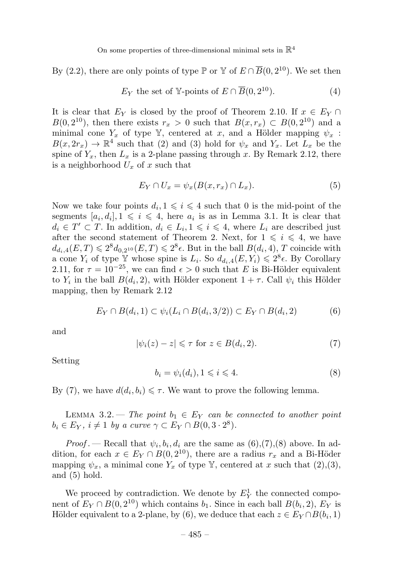By (2.2), there are only points of type P or Y of  $E \cap \overline{B}(0, 2^{10})$ . We set then

$$
E_Y
$$
 the set of Y-points of  $E \cap \overline{B}(0, 2^{10})$ . (4)

It is clear that  $E_Y$  is closed by the proof of Theorem 2.10. If  $x \in E_Y \cap$  $B(0, 2^{10})$ , then there exists  $r_x > 0$  such that  $B(x, r_x) \subset B(0, 2^{10})$  and a minimal cone  $Y_x$  of type Y, centered at x, and a Hölder mapping  $\psi_x$ :  $B(x, 2r_x) \rightarrow \mathbb{R}^4$  such that (2) and (3) hold for  $\psi_x$  and  $Y_x$ . Let  $L_x$  be the spine of  $Y_x$ , then  $L_x$  is a 2-plane passing through x. By Remark 2.12, there is a neighborhood  $U_x$  of x such that

$$
E_Y \cap U_x = \psi_x(B(x, r_x) \cap L_x). \tag{5}
$$

Now we take four points  $d_i, 1 \leq i \leq 4$  such that 0 is the mid-point of the segments  $[a_i, d_i], 1 \leq i \leq 4$ , here  $a_i$  is as in Lemma 3.1. It is clear that  $d_i \in T' \subset T$ . In addition,  $d_i \in L_i, 1 \leq i \leq 4$ , where  $L_i$  are described just after the second statement of Theorem 2. Next, for  $1 \leq i \leq 4$ , we have  $d_{d_i,4}(E,T) \leqslant 2^8d_{0,2^{10}}(E,T) \leqslant 2^8\epsilon$ . But in the ball  $B(d_i,4)$ , T coincide with a cone  $Y_i$  of type Y whose spine is  $L_i$ . So  $d_{d_i,4}(E,Y_i) \leq 2^8 \epsilon$ . By Corollary 2.11, for  $\tau = 10^{-25}$ , we can find  $\epsilon > 0$  such that E is Bi-Hölder equivalent to  $Y_i$  in the ball  $B(d_i, 2)$ , with Hölder exponent  $1 + \tau$ . Call  $\psi_i$  this Hölder mapping, then by Remark 2.12

$$
E_Y \cap B(d_i, 1) \subset \psi_i(L_i \cap B(d_i, 3/2)) \subset E_Y \cap B(d_i, 2) \tag{6}
$$

and

$$
|\psi_i(z) - z| \leq \tau \text{ for } z \in B(d_i, 2). \tag{7}
$$

Setting

$$
b_i = \psi_i(d_i), 1 \leqslant i \leqslant 4. \tag{8}
$$

By (7), we have  $d(d_i, b_i) \leq \tau$ . We want to prove the following lemma.

LEMMA 3.2. — The point  $b_1 \in E_Y$  can be connected to another point  $b_i \in E_Y$ ,  $i \neq 1$  by a curve  $\gamma \subset E_Y \cap B(0, 3 \cdot 2^8)$ .

*Proof*. — Recall that  $\psi_i, b_i, d_i$  are the same as  $(6), (7), (8)$  above. In addition, for each  $x \in E_Y \cap B(0, 2^{10})$ , there are a radius  $r_x$  and a Bi-Höder mapping  $\psi_x$ , a minimal cone  $Y_x$  of type Y, centered at x such that  $(2),(3)$ , and (5) hold.

We proceed by contradiction. We denote by  $E_Y^1$  the connected component of  $E_Y \cap B(0, 2^{10})$  which contains  $b_1$ . Since in each ball  $B(b_i, 2)$ ,  $E_Y$  is Hölder equivalent to a 2-plane, by (6), we deduce that each  $z \in E_Y \cap B(b_i, 1)$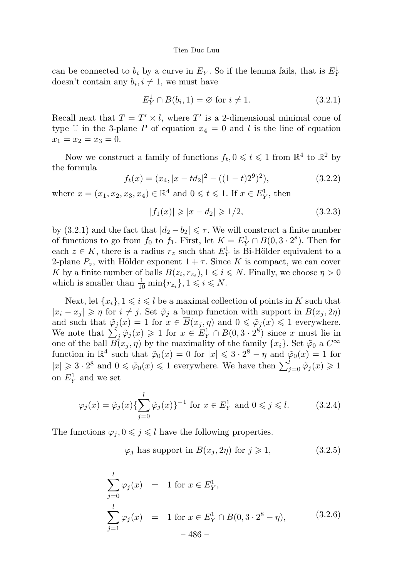can be connected to  $b_i$  by a curve in  $E_Y$ . So if the lemma fails, that is  $E_Y^1$ doesn't contain any  $b_i, i \neq 1$ , we must have

$$
E_Y^1 \cap B(b_i, 1) = \varnothing \text{ for } i \neq 1. \tag{3.2.1}
$$

Recall next that  $T = T' \times l$ , where T' is a 2-dimensional minimal cone of type  $\mathbb T$  in the 3-plane P of equation  $x_4 = 0$  and l is the line of equation  $x_1 = x_2 = x_3 = 0.$ 

Now we construct a family of functions  $f_t, 0 \leqslant t \leqslant 1$  from  $\mathbb{R}^4$  to  $\mathbb{R}^2$  by the formula

$$
f_t(x) = (x_4, |x - td_2|^2 - ((1 - t)2^9)^2),
$$
\n(3.2.2)

where  $x = (x_1, x_2, x_3, x_4) \in \mathbb{R}^4$  and  $0 \le t \le 1$ . If  $x \in E_Y^1$ , then

$$
|f_1(x)| \ge |x - d_2| \ge 1/2, \tag{3.2.3}
$$

by (3.2.1) and the fact that  $|d_2 - b_2| \leq \tau$ . We will construct a finite number of functions to go from  $f_0$  to  $f_1$ . First, let  $K = E_Y^1 \cap \overline{B}(0, 3 \cdot 2^8)$ . Then for each  $z \in K$ , there is a radius  $r_z$  such that  $E_Y^1$  is Bi-Hölder equivalent to a 2-plane  $P_z$ , with Hölder exponent  $1 + \tau$ . Since K is compact, we can cover K by a finite number of balls  $B(z_i, r_{z_i}), 1 \leq i \leq N$ . Finally, we choose  $\eta > 0$ which is smaller than  $\frac{1}{10} \min\{r_{z_i}\}, 1 \leqslant i \leqslant N$ .

Next, let  $\{x_i\}$ ,  $1 \leq i \leq l$  be a maximal collection of points in K such that  $|x_i - x_j| \geqslant \eta$  for  $i \neq j$ . Set  $\tilde{\varphi}_i$  a bump function with support in  $B(x_i, 2\eta)$ and such that  $\tilde{\varphi}_j(x) = 1$  for  $x \in B(x_j, \eta)$  and  $0 \le \tilde{\varphi}_j(x) \le 1$  everywhere. We note that  $\sum_{j} \tilde{\varphi}_j(x) \geq 1$  for  $x \in E_Y^1 \cap B(0, 3 \cdot 2^8)$  since x must lie in one of the ball  $B(x_j, \eta)$  by the maximality of the family  $\{x_i\}$ . Set  $\tilde{\varphi}_0$  a  $C^{\infty}$ function in  $\mathbb{R}^4$  such that  $\tilde{\varphi}_0(x) = 0$  for  $|x| \leq 3 \cdot 2^8 - \eta$  and  $\tilde{\varphi}_0(x) = 1$  for  $|x| \geq 3 \cdot 2^8$  and  $0 \leq \tilde{\varphi}_0(x) \leq 1$  everywhere. We have then  $\sum_{j=0}^{l} \tilde{\varphi}_j(x) \geq 1$ on  $E_Y^1$  and we set

$$
\varphi_j(x) = \tilde{\varphi}_j(x) \{ \sum_{j=0}^l \tilde{\varphi}_j(x) \}^{-1} \text{ for } x \in E_Y^1 \text{ and } 0 \le j \le l. \tag{3.2.4}
$$

The functions  $\varphi_j, 0 \leqslant j \leqslant l$  have the following properties.

$$
\varphi_j
$$
 has support in  $B(x_j, 2\eta)$  for  $j \ge 1$ , (3.2.5)

$$
\sum_{j=0}^{l} \varphi_j(x) = 1 \text{ for } x \in E^1_Y,
$$
\n
$$
\sum_{j=1}^{l} \varphi_j(x) = 1 \text{ for } x \in E^1_Y \cap B(0, 3 \cdot 2^8 - \eta), \qquad (3.2.6)
$$
\n
$$
-486 - (3.2.6)
$$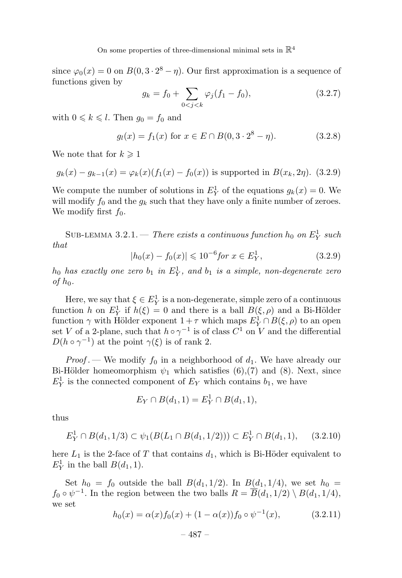since  $\varphi_0(x) = 0$  on  $B(0, 3 \cdot 2^8 - \eta)$ . Our first approximation is a sequence of functions given by

$$
g_k = f_0 + \sum_{0 < j < k} \varphi_j (f_1 - f_0), \tag{3.2.7}
$$

with  $0 \leq k \leq l$ . Then  $g_0 = f_0$  and

$$
g_l(x) = f_1(x) \text{ for } x \in E \cap B(0, 3 \cdot 2^8 - \eta). \tag{3.2.8}
$$

We note that for  $k \geq 1$ 

$$
g_k(x) - g_{k-1}(x) = \varphi_k(x)(f_1(x) - f_0(x))
$$
 is supported in  $B(x_k, 2\eta)$ . (3.2.9)

We compute the number of solutions in  $E_Y^1$  of the equations  $g_k(x) = 0$ . We will modify  $f_0$  and the  $g_k$  such that they have only a finite number of zeroes. We modify first  $f_0$ .

SUB-LEMMA 3.2.1. — There exists a continuous function  $h_0$  on  $E_Y^1$  such that

$$
|h_0(x) - f_0(x)| \leq 10^{-6} \text{for } x \in E_Y^1,
$$
\n(3.2.9)

 $h_0$  has exactly one zero  $b_1$  in  $E_Y^1$ , and  $b_1$  is a simple, non-degenerate zero of  $h_0$ .

Here, we say that  $\xi \in E_Y^1$  is a non-degenerate, simple zero of a continuous function h on  $E_Y^1$  if  $h(\xi) = 0$  and there is a ball  $B(\xi, \rho)$  and a Bi-Hölder function  $\gamma$  with Hölder exponent  $1+\tau$  which maps  $E^1_Y \cap B(\xi,\rho)$  to an open set V of a 2-plane, such that  $h \circ \gamma^{-1}$  is of class  $C^1$  on V and the differential  $D(h \circ \gamma^{-1})$  at the point  $\gamma(\xi)$  is of rank 2.

*Proof* . We modify  $f_0$  in a neighborhood of  $d_1$ . We have already our Bi-Hölder homeomorphism  $\psi_1$  which satisfies (6),(7) and (8). Next, since  $E_Y^1$  is the connected component of  $E_Y$  which contains  $b_1$ , we have

$$
E_Y \cap B(d_1, 1) = E_Y^1 \cap B(d_1, 1),
$$

thus

$$
E_Y^1 \cap B(d_1, 1/3) \subset \psi_1(B(L_1 \cap B(d_1, 1/2))) \subset E_Y^1 \cap B(d_1, 1), \quad (3.2.10)
$$

here  $L_1$  is the 2-face of T that contains  $d_1$ , which is Bi-Höder equivalent to  $E_Y^1$  in the ball  $B(d_1, 1)$ .

Set  $h_0 = f_0$  outside the ball  $B(d_1, 1/2)$ . In  $B(d_1, 1/4)$ , we set  $h_0 =$  $f_0 \circ \psi^{-1}$ . In the region between the two balls  $R = \overline{B}(d_1, 1/2) \setminus B(d_1, 1/4)$ , we set

$$
h_0(x) = \alpha(x)f_0(x) + (1 - \alpha(x))f_0 \circ \psi^{-1}(x), \qquad (3.2.11)
$$

$$
-487 -
$$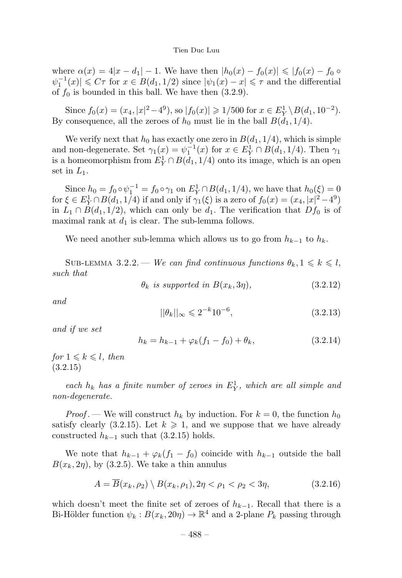where  $\alpha(x) = 4|x - d_1| - 1$ . We have then  $|h_0(x) - f_0(x)| \leq |f_0(x) - f_0 \circ$  $\psi_1^{-1}(x) \leq C\tau$  for  $x \in B(d_1, 1/2)$  since  $|\psi_1(x) - x| \leq \tau$  and the differential of  $f_0$  is bounded in this ball. We have then  $(3.2.9)$ .

Since  $f_0(x) = (x_4, |x|^2 - 4^9)$ , so  $|f_0(x)| \ge 1/500$  for  $x \in E^1_Y \setminus B(d_1, 10^{-2})$ . By consequence, all the zeroes of  $h_0$  must lie in the ball  $B(d_1, 1/4)$ .

We verify next that  $h_0$  has exactly one zero in  $B(d_1, 1/4)$ , which is simple and non-degenerate. Set  $\gamma_1(x) = \psi_1^{-1}(x)$  for  $x \in E^1_Y \cap B(d_1, 1/4)$ . Then  $\gamma_1$ is a homeomorphism from  $E_Y^1 \cap B(d_1, 1/4)$  onto its image, which is an open set in  $L_1$ .

Since  $h_0 = f_0 \circ \psi_1^{-1} = f_0 \circ \gamma_1$  on  $E_Y^1 \cap B(d_1, 1/4)$ , we have that  $h_0(\xi) = 0$ for  $\xi \in E_Y^1 \cap B(d_1, 1/4)$  if and only if  $\gamma_1(\xi)$  is a zero of  $f_0(x) = (x_4, |x|^2 - 4^9)$ in  $L_1 \cap B(d_1, 1/2)$ , which can only be  $d_1$ . The verification that  $Df_0$  is of maximal rank at  $d_1$  is clear. The sub-lemma follows.

We need another sub-lemma which allows us to go from  $h_{k-1}$  to  $h_k$ .

SUB-LEMMA 3.2.2. — We can find continuous functions  $\theta_k, 1 \leq k \leq l$ , such that

 $\theta_k$  is supported in  $B(x_k, 3\eta)$ , (3.2.12)

and

$$
||\theta_k||_{\infty} \leq 2^{-k} 10^{-6}, \tag{3.2.13}
$$

and if we set

$$
h_k = h_{k-1} + \varphi_k (f_1 - f_0) + \theta_k, \qquad (3.2.14)
$$

for  $1 \leqslant k \leqslant l$ , then (3.2.15)

each  $h_k$  has a finite number of zeroes in  $E_Y^1$ , which are all simple and non-degenerate.

*Proof* . — We will construct  $h_k$  by induction. For  $k = 0$ , the function  $h_0$ satisfy clearly (3.2.15). Let  $k \geq 1$ , and we suppose that we have already constructed  $h_{k-1}$  such that (3.2.15) holds.

We note that  $h_{k-1} + \varphi_k(f_1 - f_0)$  coincide with  $h_{k-1}$  outside the ball  $B(x_k, 2\eta)$ , by (3.2.5). We take a thin annulus

$$
A = \overline{B}(x_k, \rho_2) \setminus B(x_k, \rho_1), 2\eta < \rho_1 < \rho_2 < 3\eta,\tag{3.2.16}
$$

which doesn't meet the finite set of zeroes of  $h_{k-1}$ . Recall that there is a Bi-Hölder function  $\psi_k : B(x_k, 20\eta) \to \mathbb{R}^4$  and a 2-plane  $P_k$  passing through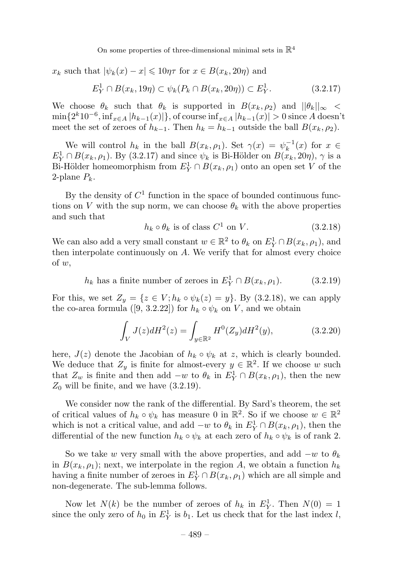$x_k$  such that  $|\psi_k(x) - x| \leq 10\eta\tau$  for  $x \in B(x_k, 20\eta)$  and

$$
E_Y^1 \cap B(x_k, 19\eta) \subset \psi_k(P_k \cap B(x_k, 20\eta)) \subset E_Y^1.
$$
 (3.2.17)

We choose  $\theta_k$  such that  $\theta_k$  is supported in  $B(x_k, \rho_2)$  and  $||\theta_k||_{\infty}$  $\min\{2^k 10^{-6}, \inf_{x\in A}|h_{k-1}(x)|\}$ , of course  $\inf_{x\in A}|h_{k-1}(x)| > 0$  since A doesn't meet the set of zeroes of  $h_{k-1}$ . Then  $h_k = h_{k-1}$  outside the ball  $B(x_k, \rho_2)$ .

We will control  $h_k$  in the ball  $B(x_k, \rho_1)$ . Set  $\gamma(x) = \psi_k^{-1}(x)$  for  $x \in$  $E_Y^1 \cap B(x_k, \rho_1)$ . By (3.2.17) and since  $\psi_k$  is Bi-Hölder on  $B(x_k, 20\eta)$ ,  $\gamma$  is a Bi-Hölder homeomorphism from  $E_Y^1 \cap B(x_k, \rho_1)$  onto an open set V of the 2-plane  $P_k$ .

By the density of  $C<sup>1</sup>$  function in the space of bounded continuous functions on V with the sup norm, we can choose  $\theta_k$  with the above properties and such that

$$
h_k \circ \theta_k \text{ is of class } C^1 \text{ on } V. \tag{3.2.18}
$$

We can also add a very small constant  $w \in \mathbb{R}^2$  to  $\theta_k$  on  $E^1_Y \cap B(x_k, \rho_1)$ , and then interpolate continuously on A. We verify that for almost every choice of w,

 $h_k$  has a finite number of zeroes in  $E_Y^1 \cap B(x_k, \rho_1)$ . (3.2.19)

For this, we set  $Z_y = \{z \in V; h_k \circ \psi_k(z) = y\}$ . By (3.2.18), we can apply the co-area formula ([9, 3.2.22]) for  $h_k \circ \psi_k$  on V, and we obtain

$$
\int_{V} J(z)dH^{2}(z) = \int_{y \in \mathbb{R}^{2}} H^{0}(Z_{y})dH^{2}(y),
$$
\n(3.2.20)

here,  $J(z)$  denote the Jacobian of  $h_k \circ \psi_k$  at z, which is clearly bounded. We deduce that  $Z_y$  is finite for almost-every  $y \in \mathbb{R}^2$ . If we choose w such that  $Z_w$  is finite and then add  $-w$  to  $\theta_k$  in  $E_Y^1 \cap B(x_k, \rho_1)$ , then the new  $Z_0$  will be finite, and we have  $(3.2.19)$ .

We consider now the rank of the differential. By Sard's theorem, the set of critical values of  $h_k \circ \psi_k$  has measure 0 in  $\mathbb{R}^2$ . So if we choose  $w \in \mathbb{R}^2$ which is not a critical value, and add  $-w$  to  $\theta_k$  in  $E^1_Y \cap B(x_k, \rho_1)$ , then the differential of the new function  $h_k \circ \psi_k$  at each zero of  $h_k \circ \psi_k$  is of rank 2.

So we take w very small with the above properties, and add  $-w$  to  $\theta_k$ in  $B(x_k, \rho_1)$ ; next, we interpolate in the region A, we obtain a function  $h_k$ having a finite number of zeroes in  $E_Y^1 \cap B(x_k, \rho_1)$  which are all simple and non-degenerate. The sub-lemma follows.

Now let  $N(k)$  be the number of zeroes of  $h_k$  in  $E_Y^1$ . Then  $N(0) = 1$ since the only zero of  $h_0$  in  $E_Y^1$  is  $b_1$ . Let us check that for the last index l,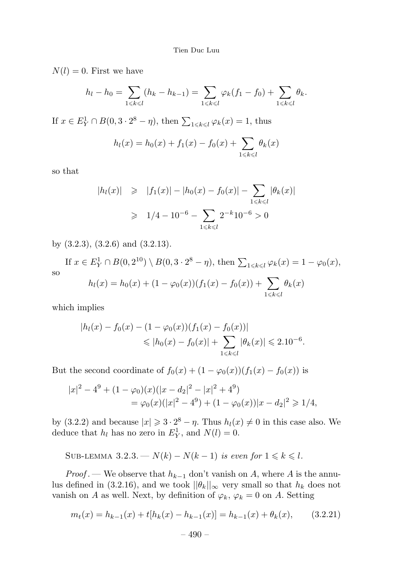$N(l) = 0$ . First we have

$$
h_l - h_0 = \sum_{1 \le k \le l} (h_k - h_{k-1}) = \sum_{1 \le k \le l} \varphi_k(f_1 - f_0) + \sum_{1 \le k \le l} \theta_k.
$$

If  $x \in E^1_Y \cap B(0, 3 \cdot 2^8 - \eta)$ , then  $\sum_{1 \le k \le l} \varphi_k(x) = 1$ , thus

$$
h_l(x) = h_0(x) + f_1(x) - f_0(x) + \sum_{1 \le k \le l} \theta_k(x)
$$

so that

$$
|h_l(x)| \ge |f_1(x)| - |h_0(x) - f_0(x)| - \sum_{1 \le k \le l} |\theta_k(x)|
$$
  
\n
$$
\ge 1/4 - 10^{-6} - \sum_{1 \le k \le l} 2^{-k} 10^{-6} > 0
$$

by (3.2.3), (3.2.6) and (3.2.13).

If 
$$
x \in E_Y^1 \cap B(0, 2^{10}) \setminus B(0, 3 \cdot 2^8 - \eta)
$$
, then  $\sum_{1 \le k \le l} \varphi_k(x) = 1 - \varphi_0(x)$ ,  
so  

$$
h_l(x) = h_0(x) + (1 - \varphi_0(x))(f_1(x) - f_0(x)) + \sum_{1 \le k \le l} \theta_k(x)
$$

which implies

$$
|h_l(x) - f_0(x) - (1 - \varphi_0(x))(f_1(x) - f_0(x))|
$$
  
\$\leqslant |h\_0(x) - f\_0(x)| + \sum\_{1 \leqslant k \leqslant l} |\theta\_k(x)| \leqslant 2.10^{-6}\$.

But the second coordinate of  $f_0(x) + (1 - \varphi_0(x))(f_1(x) - f_0(x))$  is

$$
|x|^2 - 4^9 + (1 - \varphi_0)(x)(|x - d_2|^2 - |x|^2 + 4^9)
$$
  
=  $\varphi_0(x)(|x|^2 - 4^9) + (1 - \varphi_0(x))|x - d_2|^2 \ge 1/4,$ 

by (3.2.2) and because  $|x| \geq 3 \cdot 2^8 - \eta$ . Thus  $h_l(x) \neq 0$  in this case also. We deduce that  $h_l$  has no zero in  $E_Y^1$ , and  $N(l) = 0$ .

SUB-LEMMA 3.2.3. 
$$
- N(k) - N(k-1)
$$
 is even for  $1 \le k \le l$ .

*Proof*. — We observe that  $h_{k-1}$  don't vanish on A, where A is the annulus defined in (3.2.16), and we took  $||\theta_k||_{\infty}$  very small so that  $h_k$  does not vanish on A as well. Next, by definition of  $\varphi_k$ ,  $\varphi_k = 0$  on A. Setting

$$
m_t(x) = h_{k-1}(x) + t[h_k(x) - h_{k-1}(x)] = h_{k-1}(x) + \theta_k(x), \qquad (3.2.21)
$$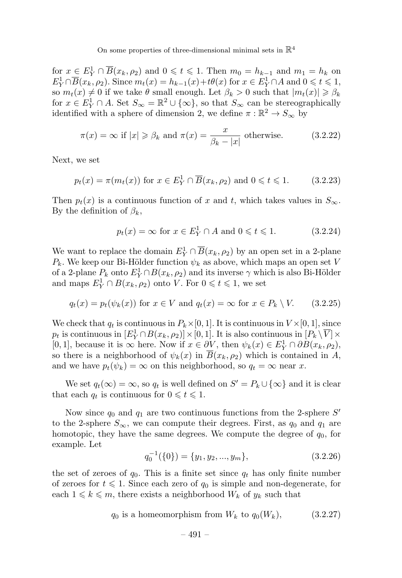for  $x \in E^1_Y \cap \overline{B}(x_k, \rho_2)$  and  $0 \leq t \leq 1$ . Then  $m_0 = h_{k-1}$  and  $m_1 = h_k$  on  $E_Y^1 \cap \overline{B}(x_k, \rho_2)$ . Since  $m_t(x) = h_{k-1}(x) + t\theta(x)$  for  $x \in E_Y^1 \cap A$  and  $0 \le t \le 1$ , so  $m_t(x) \neq 0$  if we take  $\theta$  small enough. Let  $\beta_k > 0$  such that  $|m_t(x)| \geq \beta_k$ for  $x \in E^1_Y \cap A$ . Set  $S_{\infty} = \mathbb{R}^2 \cup \{\infty\}$ , so that  $S_{\infty}$  can be stereographically identified with a sphere of dimension 2, we define  $\pi : \mathbb{R}^2 \to S_{\infty}$  by

$$
\pi(x) = \infty
$$
 if  $|x| \ge \beta_k$  and  $\pi(x) = \frac{x}{\beta_k - |x|}$  otherwise. (3.2.22)

Next, we set

$$
p_t(x) = \pi(m_t(x)) \text{ for } x \in E^1_Y \cap \overline{B}(x_k, \rho_2) \text{ and } 0 \leq t \leq 1. \tag{3.2.23}
$$

Then  $p_t(x)$  is a continuous function of x and t, which takes values in  $S_{\infty}$ . By the definition of  $\beta_k$ ,

$$
p_t(x) = \infty \text{ for } x \in E^1_Y \cap A \text{ and } 0 \leqslant t \leqslant 1. \tag{3.2.24}
$$

We want to replace the domain  $E_Y^1 \cap \overline{B}(x_k, \rho_2)$  by an open set in a 2-plane  $P_k$ . We keep our Bi-Hölder function  $\psi_k$  as above, which maps an open set V of a 2-plane  $P_k$  onto  $E_Y^1 \cap B(x_k, \rho_2)$  and its inverse  $\gamma$  which is also Bi-Hölder and maps  $E_Y^1 \cap B(x_k, \rho_2)$  onto V. For  $0 \le t \le 1$ , we set

$$
q_t(x) = p_t(\psi_k(x)) \text{ for } x \in V \text{ and } q_t(x) = \infty \text{ for } x \in P_k \setminus V. \qquad (3.2.25)
$$

We check that  $q_t$  is continuous in  $P_k\times[0,1]$ . It is continuous in  $V\times[0,1]$ , since  $p_t$  is continuous in  $[E_Y^1 \cap B(x_k, \rho_2)] \times [0, 1]$ . It is also continuous in  $[P_k \setminus \overline{V}] \times$ [0, 1], because it is  $\infty$  here. Now if  $x \in \partial V$ , then  $\psi_k(x) \in E^1_Y \cap \partial B(x_k, \rho_2)$ , so there is a neighborhood of  $\psi_k(x)$  in  $\overline{B}(x_k, \rho_2)$  which is contained in A, and we have  $p_t(\psi_k) = \infty$  on this neighborhood, so  $q_t = \infty$  near x.

We set  $q_t(\infty) = \infty$ , so  $q_t$  is well defined on  $S' = P_k \cup {\infty}$  and it is clear that each  $q_t$  is continuous for  $0 \leq t \leq 1$ .

Now since  $q_0$  and  $q_1$  are two continuous functions from the 2-sphere S' to the 2-sphere  $S_{\infty}$ , we can compute their degrees. First, as  $q_0$  and  $q_1$  are homotopic, they have the same degrees. We compute the degree of  $q_0$ , for example. Let

$$
q_0^{-1}(\{0\}) = \{y_1, y_2, ..., y_m\},
$$
\n(3.2.26)

the set of zeroes of  $q_0$ . This is a finite set since  $q_t$  has only finite number of zeroes for  $t \leq 1$ . Since each zero of  $q_0$  is simple and non-degenerate, for each  $1 \leq k \leq m$ , there exists a neighborhood  $W_k$  of  $y_k$  such that

 $q_0$  is a homeomorphism from  $W_k$  to  $q_0(W_k)$ , (3.2.27)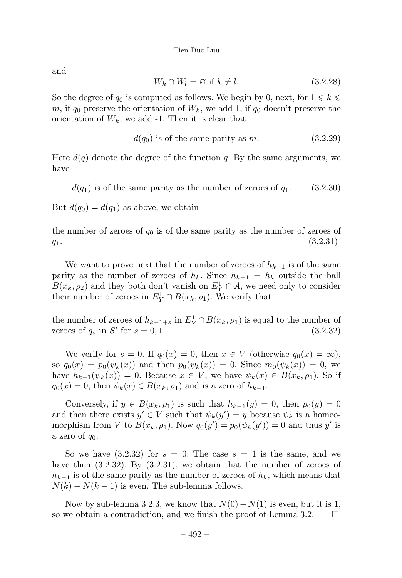and

$$
W_k \cap W_l = \varnothing \text{ if } k \neq l. \tag{3.2.28}
$$

So the degree of  $q_0$  is computed as follows. We begin by 0, next, for  $1 \leq k \leq$ m, if  $q_0$  preserve the orientation of  $W_k$ , we add 1, if  $q_0$  doesn't preserve the orientation of  $W_k$ , we add -1. Then it is clear that

$$
d(q_0) \text{ is of the same parity as } m. \tag{3.2.29}
$$

Here  $d(q)$  denote the degree of the function q. By the same arguments, we have

 $d(q_1)$  is of the same parity as the number of zeroes of  $q_1$ . (3.2.30)

But  $d(q_0) = d(q_1)$  as above, we obtain

the number of zeroes of  $q_0$  is of the same parity as the number of zeroes of  $q_1.$  (3.2.31)

We want to prove next that the number of zeroes of  $h_{k-1}$  is of the same parity as the number of zeroes of  $h_k$ . Since  $h_{k-1} = h_k$  outside the ball  $B(x_k, \rho_2)$  and they both don't vanish on  $E^1_Y \cap A$ , we need only to consider their number of zeroes in  $E_Y^1 \cap B(x_k, \rho_1)$ . We verify that

the number of zeroes of  $h_{k-1+s}$  in  $E_Y^1 \cap B(x_k, \rho_1)$  is equal to the number of zeroes of  $q_s$  in  $S'$  for  $s = 0, 1$ . (3.2.32)

We verify for  $s = 0$ . If  $q_0(x) = 0$ , then  $x \in V$  (otherwise  $q_0(x) = \infty$ ), so  $q_0(x) = p_0(\psi_k(x))$  and then  $p_0(\psi_k(x)) = 0$ . Since  $m_0(\psi_k(x)) = 0$ , we have  $h_{k-1}(\psi_k(x)) = 0$ . Because  $x \in V$ , we have  $\psi_k(x) \in B(x_k, \rho_1)$ . So if  $q_0(x) = 0$ , then  $\psi_k(x) \in B(x_k, \rho_1)$  and is a zero of  $h_{k-1}$ .

Conversely, if  $y \in B(x_k, \rho_1)$  is such that  $h_{k-1}(y) = 0$ , then  $p_0(y) = 0$ and then there exists  $y' \in V$  such that  $\psi_k(y') = y$  because  $\psi_k$  is a homeomorphism from V to  $B(x_k, \rho_1)$ . Now  $q_0(y') = p_0(\psi_k(y')) = 0$  and thus y' is a zero of  $q_0$ .

So we have  $(3.2.32)$  for  $s = 0$ . The case  $s = 1$  is the same, and we have then  $(3.2.32)$ . By  $(3.2.31)$ , we obtain that the number of zeroes of  $h_{k-1}$  is of the same parity as the number of zeroes of  $h_k$ , which means that  $N(k) - N(k-1)$  is even. The sub-lemma follows.

Now by sub-lemma 3.2.3, we know that  $N(0) - N(1)$  is even, but it is 1, we obtain a contradiction, and we finish the proof of Lemma 3.2. so we obtain a contradiction, and we finish the proof of Lemma 3.2.